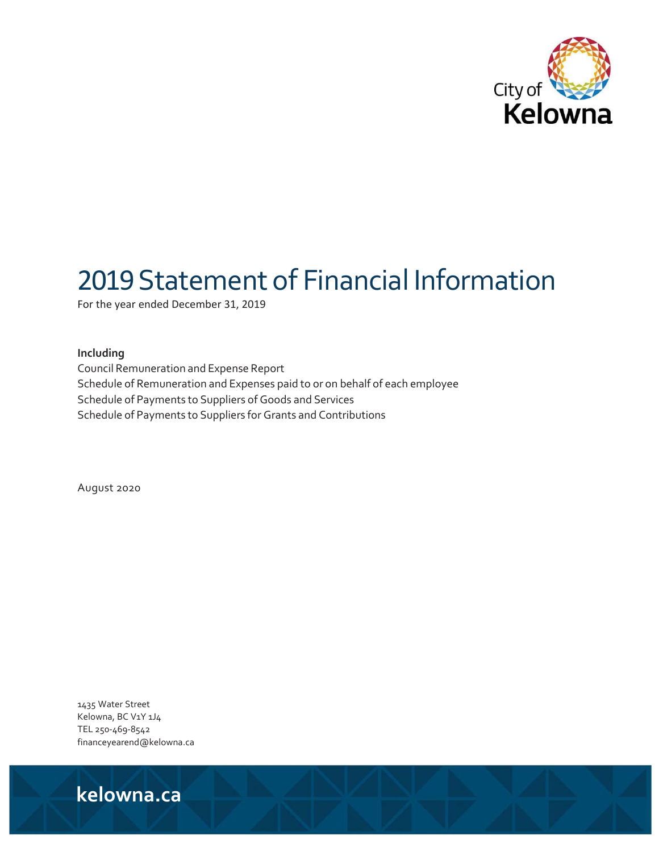

# 2019Statement of Financial Information

For the year ended December 31, 2019

#### **Including**

Council Remuneration and Expense Report Schedule of Remuneration and Expenses paid to or on behalf of each employee Schedule of Payments to Suppliers of Goods and Services Schedule of Payments to Suppliers for Grants and Contributions

August 2020

1435 Water Street Kelowna, BC V1Y 1J4 TEL 250‐469‐8542 financeyearend@kelowna.ca

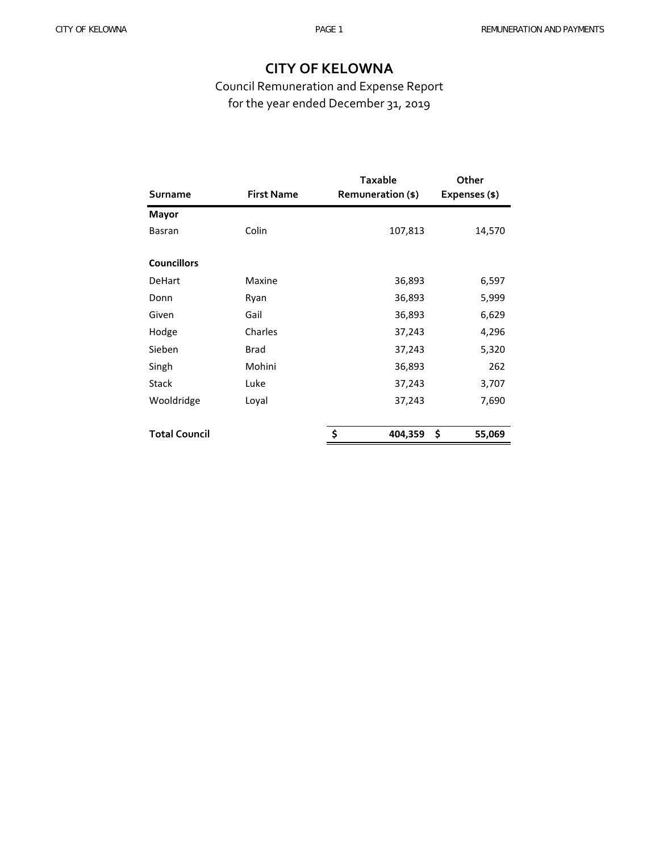Council Remuneration and Expense Report for the year ended December 31, 2019

|                      |                   | <b>Taxable</b>    | Other         |
|----------------------|-------------------|-------------------|---------------|
| Surname              | <b>First Name</b> | Remuneration (\$) | Expenses (\$) |
| <b>Mayor</b>         |                   |                   |               |
| <b>Basran</b>        | Colin             | 107,813           | 14,570        |
| <b>Councillors</b>   |                   |                   |               |
| <b>DeHart</b>        | Maxine            | 36,893            | 6,597         |
| Donn                 | Ryan              | 36,893            | 5,999         |
| Given                | Gail              | 36,893            | 6,629         |
| Hodge                | Charles           | 37,243            | 4,296         |
| Sieben               | <b>Brad</b>       | 37,243            | 5,320         |
| Singh                | Mohini            | 36,893            | 262           |
| <b>Stack</b>         | Luke              | 37,243            | 3,707         |
| Wooldridge           | Loyal             | 37,243            | 7,690         |
| <b>Total Council</b> |                   | \$<br>404,359     | \$<br>55,069  |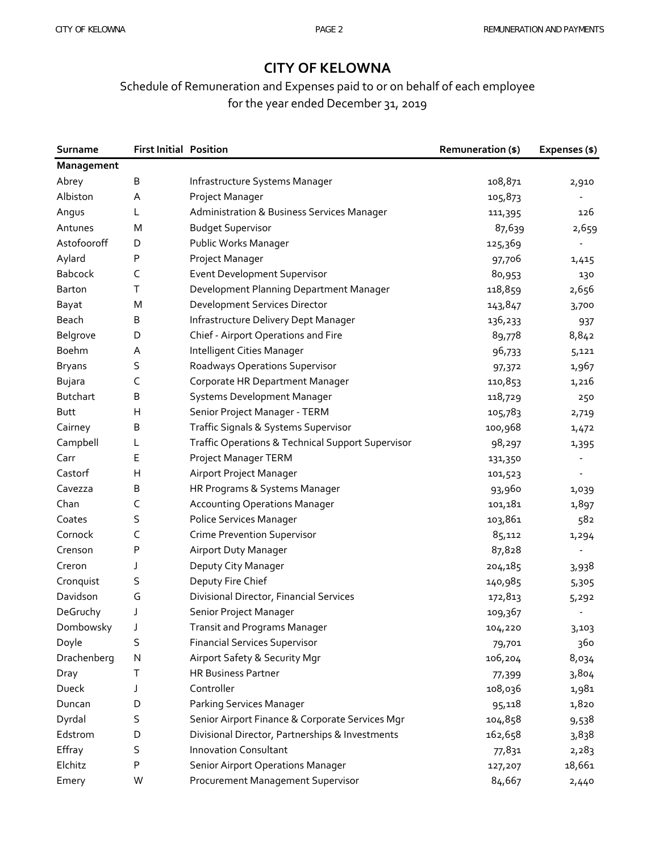# Schedule of Remuneration and Expenses paid to or on behalf of each employee for the year ended December 31, 2019

| Surname         | <b>First Initial Position</b> |                                                   | <b>Remuneration (\$)</b> | Expenses (\$)            |
|-----------------|-------------------------------|---------------------------------------------------|--------------------------|--------------------------|
| Management      |                               |                                                   |                          |                          |
| Abrey           | Β                             | Infrastructure Systems Manager                    | 108,871                  | 2,910                    |
| Albiston        | Α                             | Project Manager                                   | 105,873                  |                          |
| Angus           | L                             | Administration & Business Services Manager        | 111,395                  | 126                      |
| Antunes         | Μ                             | <b>Budget Supervisor</b>                          | 87,639                   | 2,659                    |
| Astofooroff     | D                             | Public Works Manager                              | 125,369                  |                          |
| Aylard          | Ρ                             | Project Manager                                   | 97,706                   | 1,415                    |
| <b>Babcock</b>  | C                             | <b>Event Development Supervisor</b>               | 80,953                   | 130                      |
| <b>Barton</b>   | T                             | Development Planning Department Manager           | 118,859                  | 2,656                    |
| Bayat           | M                             | Development Services Director                     | 143,847                  | 3,700                    |
| Beach           | B                             | Infrastructure Delivery Dept Manager              | 136,233                  | 937                      |
| Belgrove        | D                             | Chief - Airport Operations and Fire               | 89,778                   | 8,842                    |
| Boehm           | Α                             | Intelligent Cities Manager                        | 96,733                   | 5,121                    |
| <b>Bryans</b>   | S                             | Roadways Operations Supervisor                    | 97,372                   | 1,967                    |
| Bujara          | C                             | Corporate HR Department Manager                   | 110,853                  | 1,216                    |
| <b>Butchart</b> | В                             | Systems Development Manager                       | 118,729                  | 250                      |
| Butt            | Н                             | Senior Project Manager - TERM                     | 105,783                  | 2,719                    |
| Cairney         | В                             | Traffic Signals & Systems Supervisor              | 100,968                  | 1,472                    |
| Campbell        | L                             | Traffic Operations & Technical Support Supervisor | 98,297                   | 1,395                    |
| Carr            | Е                             | Project Manager TERM                              | 131,350                  | $\overline{\phantom{a}}$ |
| Castorf         | н                             | Airport Project Manager                           | 101,523                  |                          |
| Cavezza         | Β                             | HR Programs & Systems Manager                     | 93,960                   | 1,039                    |
| Chan            | C                             | <b>Accounting Operations Manager</b>              | 101,181                  | 1,897                    |
| Coates          | S                             | Police Services Manager                           | 103,861                  | 582                      |
| Cornock         | C                             | <b>Crime Prevention Supervisor</b>                | 85,112                   | 1,294                    |
| Crenson         | Ρ                             | Airport Duty Manager                              | 87,828                   |                          |
| Creron          | J                             | Deputy City Manager                               | 204,185                  | 3,938                    |
| Cronquist       | S                             | Deputy Fire Chief                                 | 140,985                  | 5,305                    |
| Davidson        | G                             | Divisional Director, Financial Services           | 172,813                  | 5,292                    |
| DeGruchy        | J                             | Senior Project Manager                            | 109,367                  |                          |
| Dombowsky       | J                             | <b>Transit and Programs Manager</b>               | 104,220                  | 3,103                    |
| Doyle           | S                             | <b>Financial Services Supervisor</b>              | 79,701                   | 360                      |
| Drachenberg     | N                             | Airport Safety & Security Mgr                     | 106,204                  | 8,034                    |
| Dray            | т                             | <b>HR Business Partner</b>                        | 77,399                   | 3,804                    |
| Dueck           | J                             | Controller                                        | 108,036                  | 1,981                    |
| Duncan          | D                             | Parking Services Manager                          | 95,118                   | 1,820                    |
| Dyrdal          | S                             | Senior Airport Finance & Corporate Services Mgr   | 104,858                  | 9,538                    |
| Edstrom         | D                             | Divisional Director, Partnerships & Investments   | 162,658                  | 3,838                    |
| Effray          | S                             | <b>Innovation Consultant</b>                      | 77,831                   | 2,283                    |
| Elchitz         | Ρ                             | Senior Airport Operations Manager                 | 127,207                  | 18,661                   |
| Emery           | W                             | Procurement Management Supervisor                 | 84,667                   | 2,440                    |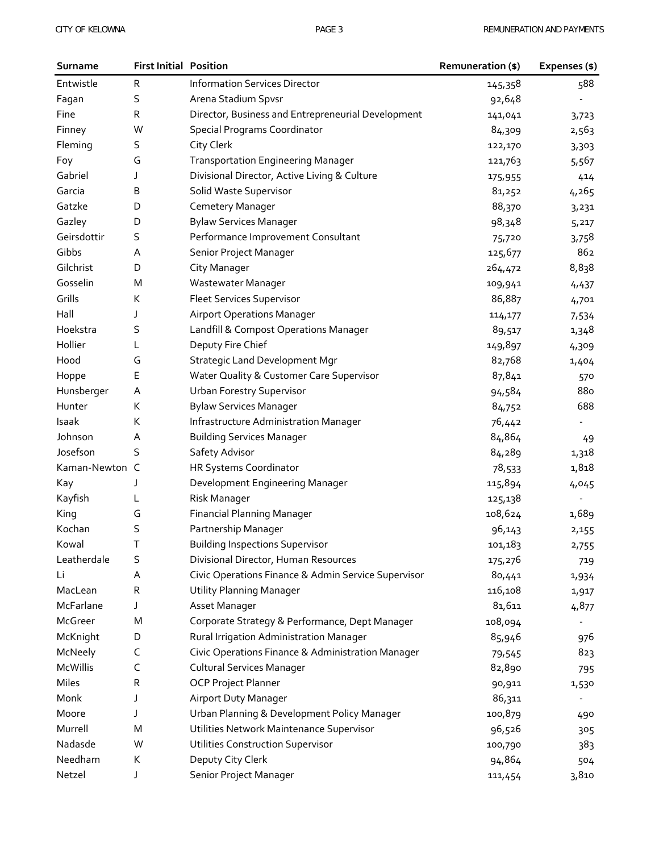| Surname         | <b>First Initial Position</b> |                                                     | Remuneration (\$) | Expenses (\$)            |
|-----------------|-------------------------------|-----------------------------------------------------|-------------------|--------------------------|
| Entwistle       | R                             | <b>Information Services Director</b>                | 145,358           | 588                      |
| Fagan           | S                             | Arena Stadium Spvsr                                 | 92,648            |                          |
| Fine            | R                             | Director, Business and Entrepreneurial Development  | 141,041           | 3,723                    |
| Finney          | W                             | <b>Special Programs Coordinator</b>                 | 84,309            | 2,563                    |
| Fleming         | S                             | City Clerk                                          | 122,170           | 3,303                    |
| Foy             | G                             | <b>Transportation Engineering Manager</b>           | 121,763           | 5,567                    |
| Gabriel         | J                             | Divisional Director, Active Living & Culture        | 175,955           | 414                      |
| Garcia          | B                             | Solid Waste Supervisor                              | 81,252            | 4,265                    |
| Gatzke          | D                             | Cemetery Manager                                    | 88,370            | 3,231                    |
| Gazley          | D                             | <b>Bylaw Services Manager</b>                       | 98,348            | 5,217                    |
| Geirsdottir     | S                             | Performance Improvement Consultant                  | 75,720            | 3,758                    |
| Gibbs           | A                             | Senior Project Manager                              | 125,677           | 862                      |
| Gilchrist       | D                             | City Manager                                        | 264,472           | 8,838                    |
| Gosselin        | M                             | Wastewater Manager                                  | 109,941           | 4,437                    |
| Grills          | К                             | <b>Fleet Services Supervisor</b>                    | 86,887            | 4,701                    |
| Hall            | J                             | <b>Airport Operations Manager</b>                   | 114,177           | 7,534                    |
| Hoekstra        | S                             | Landfill & Compost Operations Manager               | 89,517            | 1,348                    |
| Hollier         | L                             | Deputy Fire Chief                                   | 149,897           | 4,309                    |
| Hood            | G                             | <b>Strategic Land Development Mgr</b>               | 82,768            | 1,404                    |
| Hoppe           | Ε                             | Water Quality & Customer Care Supervisor            | 87,841            | 570                      |
| Hunsberger      | Α                             | <b>Urban Forestry Supervisor</b>                    | 94,584            | 880                      |
| Hunter          | К                             | <b>Bylaw Services Manager</b>                       | 84,752            | 688                      |
| Isaak           | K                             | Infrastructure Administration Manager               | 76,442            |                          |
| Johnson         | Α                             | <b>Building Services Manager</b>                    | 84,864            | 49                       |
| Josefson        | S                             | Safety Advisor                                      | 84,289            | 1,318                    |
| Kaman-Newton C  |                               | HR Systems Coordinator                              | 78,533            | 1,818                    |
| Kay             | J                             | Development Engineering Manager                     | 115,894           | 4,045                    |
| Kayfish         | L                             | Risk Manager                                        | 125,138           |                          |
| King            | G                             | <b>Financial Planning Manager</b>                   | 108,624           | 1,689                    |
| Kochan          | S                             | Partnership Manager                                 | 96,143            | 2,155                    |
| Kowal           | Τ                             | <b>Building Inspections Supervisor</b>              | 101,183           | 2,755                    |
| Leatherdale     | S                             | Divisional Director, Human Resources                | 175,276           | 719                      |
| Li              | Α                             | Civic Operations Finance & Admin Service Supervisor | 80,441            | 1,934                    |
| MacLean         | R                             | <b>Utility Planning Manager</b>                     | 116,108           | 1,917                    |
| McFarlane       | J                             | Asset Manager                                       | 81,611            | 4,877                    |
| McGreer         | M                             | Corporate Strategy & Performance, Dept Manager      | 108,094           |                          |
| McKnight        | D                             | Rural Irrigation Administration Manager             | 85,946            | 976                      |
| McNeely         | C                             | Civic Operations Finance & Administration Manager   | 79,545            | 823                      |
| <b>McWillis</b> | C                             | <b>Cultural Services Manager</b>                    | 82,890            | 795                      |
| Miles           | R                             | <b>OCP Project Planner</b>                          | 90,911            | 1,530                    |
| Monk            | J                             | Airport Duty Manager                                | 86,311            | $\overline{\phantom{a}}$ |
| Moore           | J                             | Urban Planning & Development Policy Manager         | 100,879           | 490                      |
| Murrell         | M                             | Utilities Network Maintenance Supervisor            | 96,526            | 305                      |
| Nadasde         | W                             | <b>Utilities Construction Supervisor</b>            | 100,790           | 383                      |
| Needham         | К                             | Deputy City Clerk                                   | 94,864            | 504                      |
| Netzel          | J                             | Senior Project Manager                              | 111,454           | 3,810                    |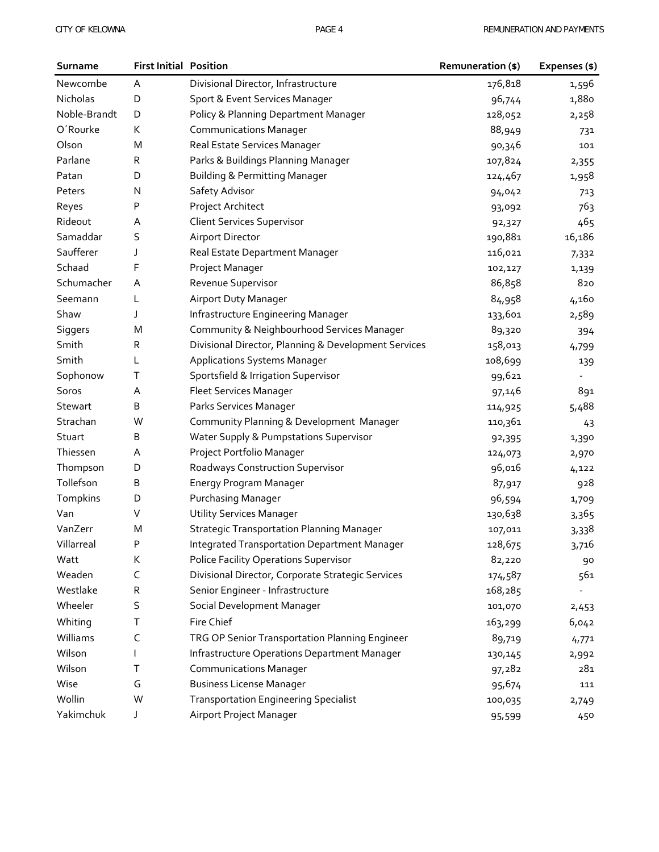| Surname      | <b>First Initial Position</b> |                                                      | Remuneration (\$) | Expenses (\$) |
|--------------|-------------------------------|------------------------------------------------------|-------------------|---------------|
| Newcombe     | Α                             | Divisional Director, Infrastructure                  | 176,818           | 1,596         |
| Nicholas     | D                             | Sport & Event Services Manager                       | 96,744            | 1,880         |
| Noble-Brandt | D                             | Policy & Planning Department Manager                 | 128,052           | 2,258         |
| O'Rourke     | K                             | <b>Communications Manager</b>                        | 88,949            | 731           |
| Olson        | M                             | Real Estate Services Manager                         | 90,346            | 101           |
| Parlane      | R                             | Parks & Buildings Planning Manager                   | 107,824           | 2,355         |
| Patan        | D                             | <b>Building &amp; Permitting Manager</b>             | 124,467           | 1,958         |
| Peters       | N                             | Safety Advisor                                       | 94,042            | 713           |
| Reyes        | Ρ                             | Project Architect                                    | 93,092            | 763           |
| Rideout      | Α                             | <b>Client Services Supervisor</b>                    | 92,327            | 465           |
| Samaddar     | S                             | <b>Airport Director</b>                              | 190,881           | 16,186        |
| Saufferer    | J                             | Real Estate Department Manager                       | 116,021           | 7,332         |
| Schaad       | F                             | Project Manager                                      | 102,127           | 1,139         |
| Schumacher   | Α                             | Revenue Supervisor                                   | 86,858            | 820           |
| Seemann      | L                             | Airport Duty Manager                                 | 84,958            | 4,160         |
| Shaw         | J                             | Infrastructure Engineering Manager                   | 133,601           | 2,589         |
| Siggers      | M                             | Community & Neighbourhood Services Manager           | 89,320            | 394           |
| Smith        | R                             | Divisional Director, Planning & Development Services | 158,013           | 4,799         |
| Smith        | L                             | <b>Applications Systems Manager</b>                  | 108,699           | 139           |
| Sophonow     | Т                             | Sportsfield & Irrigation Supervisor                  | 99,621            |               |
| Soros        | Α                             | <b>Fleet Services Manager</b>                        | 97,146            | 891           |
| Stewart      | В                             | Parks Services Manager                               | 114,925           | 5,488         |
| Strachan     | W                             | Community Planning & Development Manager             | 110,361           | 43            |
| Stuart       | В                             | Water Supply & Pumpstations Supervisor               | 92,395            | 1,390         |
| Thiessen     | Α                             | Project Portfolio Manager                            | 124,073           | 2,970         |
| Thompson     | D                             | Roadways Construction Supervisor                     | 96,016            | 4,122         |
| Tollefson    | В                             | Energy Program Manager                               | 87,917            | 928           |
| Tompkins     | D                             | Purchasing Manager                                   | 96,594            | 1,709         |
| Van          | V                             | <b>Utility Services Manager</b>                      | 130,638           | 3,365         |
| VanZerr      | M                             | <b>Strategic Transportation Planning Manager</b>     | 107,011           | 3,338         |
| Villarreal   | P                             | <b>Integrated Transportation Department Manager</b>  | 128,675           | 3,716         |
| Watt         | К                             | <b>Police Facility Operations Supervisor</b>         | 82,220            | 90            |
| Weaden       | C                             | Divisional Director, Corporate Strategic Services    | 174,587           | 561           |
| Westlake     | R                             | Senior Engineer - Infrastructure                     | 168,285           |               |
| Wheeler      | S                             | Social Development Manager                           | 101,070           | 2,453         |
| Whiting      | Т                             | Fire Chief                                           | 163,299           | 6,042         |
| Williams     | C                             | TRG OP Senior Transportation Planning Engineer       | 89,719            | 4,771         |
| Wilson       |                               | Infrastructure Operations Department Manager         | 130,145           | 2,992         |
| Wilson       | т                             | <b>Communications Manager</b>                        | 97,282            | 281           |
| Wise         | G                             | <b>Business License Manager</b>                      | 95,674            | 111           |
| Wollin       | W                             | <b>Transportation Engineering Specialist</b>         | 100,035           | 2,749         |
| Yakimchuk    | J                             | Airport Project Manager                              | 95,599            | 450           |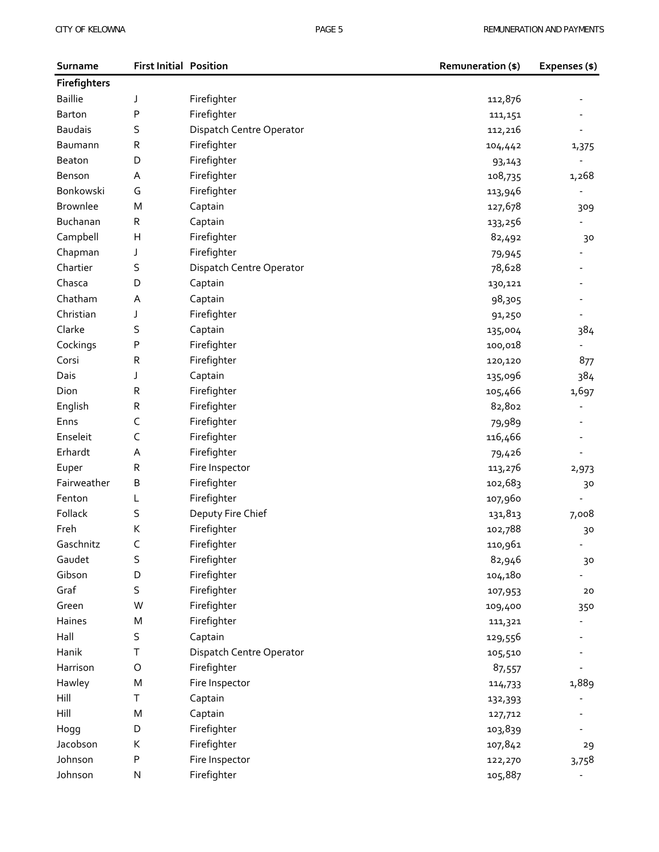| Surname         | <b>First Initial Position</b> |                          | Remuneration (\$) | Expenses (\$)                |
|-----------------|-------------------------------|--------------------------|-------------------|------------------------------|
| Firefighters    |                               |                          |                   |                              |
| <b>Baillie</b>  | J                             | Firefighter              | 112,876           |                              |
| Barton          | P                             | Firefighter              | 111,151           |                              |
| <b>Baudais</b>  | S                             | Dispatch Centre Operator | 112,216           |                              |
| Baumann         | ${\sf R}$                     | Firefighter              | 104,442           | 1,375                        |
| Beaton          | D                             | Firefighter              | 93,143            |                              |
| Benson          | Α                             | Firefighter              | 108,735           | 1,268                        |
| Bonkowski       | G                             | Firefighter              | 113,946           |                              |
| <b>Brownlee</b> | M                             | Captain                  | 127,678           | 309                          |
| Buchanan        | R                             | Captain                  | 133,256           |                              |
| Campbell        | H                             | Firefighter              | 82,492            | 30                           |
| Chapman         | J                             | Firefighter              | 79,945            |                              |
| Chartier        | S                             | Dispatch Centre Operator | 78,628            |                              |
| Chasca          | D                             | Captain                  | 130,121           |                              |
| Chatham         | Α                             | Captain                  | 98,305            |                              |
| Christian       | J                             | Firefighter              | 91,250            |                              |
| Clarke          | S                             | Captain                  | 135,004           | 384                          |
| Cockings        | P                             | Firefighter              | 100,018           |                              |
| Corsi           | ${\sf R}$                     | Firefighter              | 120,120           | 877                          |
| Dais            | J                             | Captain                  | 135,096           | 384                          |
| Dion            | ${\sf R}$                     | Firefighter              | 105,466           | 1,697                        |
| English         | R                             | Firefighter              | 82,802            | ä,                           |
| Enns            | C                             | Firefighter              | 79,989            |                              |
| Enseleit        | C                             | Firefighter              | 116,466           |                              |
| Erhardt         | Α                             | Firefighter              | 79,426            |                              |
| Euper           | ${\sf R}$                     | Fire Inspector           | 113,276           | 2,973                        |
| Fairweather     | В                             | Firefighter              | 102,683           | 30                           |
| Fenton          | L                             | Firefighter              | 107,960           |                              |
| Follack         | S                             | Deputy Fire Chief        | 131,813           | 7,008                        |
| Freh            | К                             | Firefighter              | 102,788           | 30                           |
| Gaschnitz       | C                             | Firefighter              | 110,961           |                              |
| Gaudet          | S                             | Firefighter              | 82,946            | 30                           |
| Gibson          | D                             | Firefighter              | 104,180           |                              |
| Graf            | S                             | Firefighter              | 107,953           | 20                           |
| Green           | W                             | Firefighter              | 109,400           | 350                          |
| Haines          | M                             | Firefighter              | 111,321           |                              |
| Hall            | S                             | Captain                  | 129,556           |                              |
| Hanik           | Τ                             | Dispatch Centre Operator | 105,510           |                              |
| Harrison        | $\circ$                       | Firefighter              | 87,557            |                              |
| Hawley          | M                             | Fire Inspector           | 114,733           | 1,889                        |
| Hill            | $\top$                        | Captain                  | 132,393           |                              |
| Hill            | M                             | Captain                  | 127,712           |                              |
| Hogg            | D                             | Firefighter              | 103,839           |                              |
| Jacobson        | К                             | Firefighter              | 107,842           | 29                           |
| Johnson         | P                             | Fire Inspector           | 122,270           | 3,758                        |
| Johnson         | ${\sf N}$                     | Firefighter              | 105,887           | $\qquad \qquad \blacksquare$ |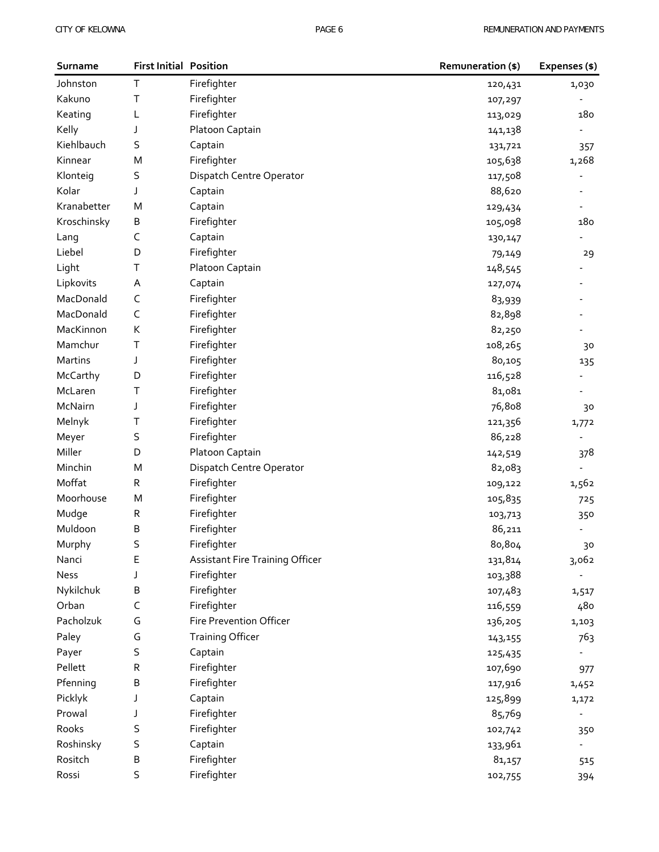| Surname     | <b>First Initial Position</b> |                                        | Remuneration (\$) | Expenses (\$)  |
|-------------|-------------------------------|----------------------------------------|-------------------|----------------|
| Johnston    | T.                            | Firefighter                            | 120,431           | 1,030          |
| Kakuno      | т                             | Firefighter                            | 107,297           |                |
| Keating     | L                             | Firefighter                            | 113,029           | 180            |
| Kelly       | J                             | Platoon Captain                        | 141,138           |                |
| Kiehlbauch  | S                             | Captain                                | 131,721           | 357            |
| Kinnear     | M                             | Firefighter                            | 105,638           | 1,268          |
| Klonteig    | S                             | Dispatch Centre Operator               | 117,508           |                |
| Kolar       | J                             | Captain                                | 88,620            |                |
| Kranabetter | M                             | Captain                                | 129,434           |                |
| Kroschinsky | B                             | Firefighter                            | 105,098           | 180            |
| Lang        | C                             | Captain                                | 130,147           |                |
| Liebel      | D                             | Firefighter                            | 79,149            | 29             |
| Light       | т                             | Platoon Captain                        | 148,545           |                |
| Lipkovits   | Α                             | Captain                                | 127,074           |                |
| MacDonald   | C                             | Firefighter                            | 83,939            |                |
| MacDonald   | C                             | Firefighter                            | 82,898            |                |
| MacKinnon   | К                             | Firefighter                            | 82,250            |                |
| Mamchur     | т                             | Firefighter                            | 108,265           | 30             |
| Martins     | J                             | Firefighter                            | 80,105            | 135            |
| McCarthy    | D                             | Firefighter                            | 116,528           |                |
| McLaren     | т                             | Firefighter                            | 81,081            |                |
| McNairn     | J                             | Firefighter                            | 76,808            | 30             |
| Melnyk      | Τ                             | Firefighter                            | 121,356           | 1,772          |
| Meyer       | S                             | Firefighter                            | 86,228            |                |
| Miller      | D                             | Platoon Captain                        | 142,519           | 378            |
| Minchin     | M                             | Dispatch Centre Operator               | 82,083            |                |
| Moffat      | R                             | Firefighter                            | 109,122           | 1,562          |
| Moorhouse   | M                             | Firefighter                            | 105,835           | 725            |
| Mudge       | R                             | Firefighter                            | 103,713           | 350            |
| Muldoon     | В                             | Firefighter                            | 86,211            |                |
| Murphy      | S                             | Firefighter                            | 80,804            | 30             |
| Nanci       | Е                             | <b>Assistant Fire Training Officer</b> | 131,814           | 3,062          |
| <b>Ness</b> | J                             | Firefighter                            | 103,388           |                |
| Nykilchuk   | В                             | Firefighter                            | 107,483           | 1,517          |
| Orban       | C                             | Firefighter                            | 116,559           | 480            |
| Pacholzuk   | G                             | Fire Prevention Officer                | 136,205           | 1,103          |
| Paley       | G                             | <b>Training Officer</b>                | 143,155           | 763            |
| Payer       | S                             | Captain                                | 125,435           |                |
| Pellett     | R                             | Firefighter                            | 107,690           | 977            |
| Pfenning    | В                             | Firefighter                            | 117,916           | 1,452          |
| Picklyk     | J                             | Captain                                | 125,899           | 1,172          |
| Prowal      | J                             | Firefighter                            | 85,769            | $\overline{a}$ |
| Rooks       | S                             | Firefighter                            | 102,742           | 350            |
| Roshinsky   | S                             | Captain                                | 133,961           |                |
| Rositch     | В                             | Firefighter                            | 81,157            | 515            |
| Rossi       | S                             | Firefighter                            | 102,755           | 394            |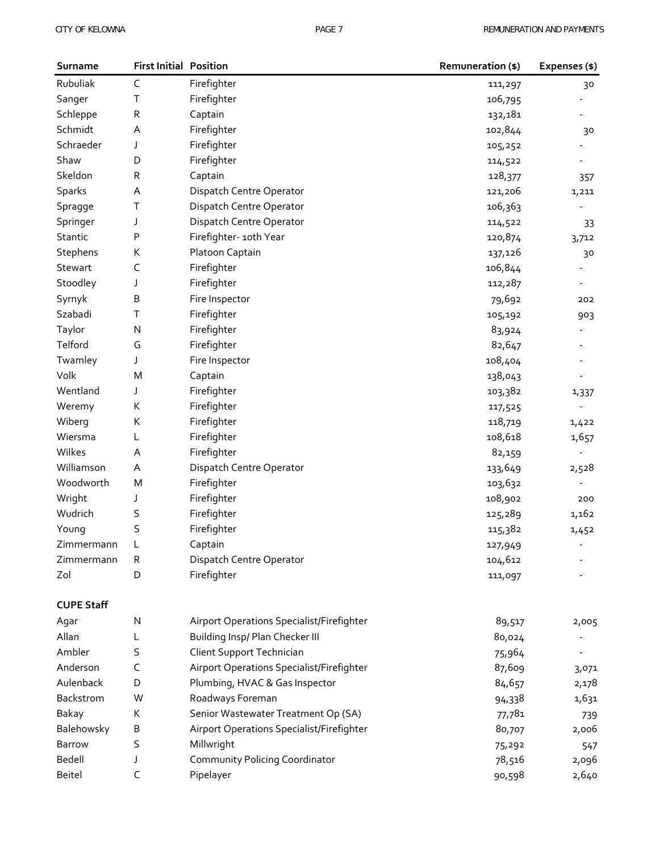| <b>First Initial Position</b><br>Surname |             |                                           | Remuneration (\$) | Expenses (\$) |
|------------------------------------------|-------------|-------------------------------------------|-------------------|---------------|
| Rubuliak                                 | $\mathsf C$ | Firefighter                               | 111,297           | 30            |
| Sanger                                   | Τ           | Firefighter                               | 106,795           |               |
| Schleppe                                 | R           | Captain                                   | 132,181           |               |
| Schmidt                                  | Α           | Firefighter                               | 102,844           | 30            |
| Schraeder                                | J           | Firefighter                               | 105,252           |               |
| Shaw                                     | D           | Firefighter                               | 114,522           |               |
| Skeldon                                  | ${\sf R}$   | Captain                                   | 128,377           | 357           |
| Sparks                                   | Α           | Dispatch Centre Operator                  | 121,206           | 1,211         |
| Spragge                                  | Τ           | Dispatch Centre Operator                  | 106,363           |               |
| Springer                                 | J           | Dispatch Centre Operator                  | 114,522           | 33            |
| Stantic                                  | P           | Firefighter- 10th Year                    | 120,874           | 3,712         |
| Stephens                                 | К           | Platoon Captain                           | 137,126           | 30            |
| Stewart                                  | C           | Firefighter                               | 106,844           |               |
| Stoodley                                 | J           | Firefighter                               | 112,287           |               |
| Syrnyk                                   | B           | Fire Inspector                            | 79,692            | 202           |
| Szabadi                                  | T           | Firefighter                               | 105,192           | 903           |
| Taylor                                   | N           | Firefighter                               | 83,924            |               |
| Telford                                  | G           | Firefighter                               | 82,647            |               |
| Twamley                                  | J           | Fire Inspector                            | 108,404           |               |
| Volk                                     | M           | Captain                                   | 138,043           |               |
| Wentland                                 | J           | Firefighter                               | 103,382           | 1,337         |
| Weremy                                   | К           | Firefighter                               | 117,525           |               |
| Wiberg                                   | К           | Firefighter                               | 118,719           | 1,422         |
| Wiersma                                  | L           | Firefighter                               | 108,618           | 1,657         |
| Wilkes                                   | Α           | Firefighter                               | 82,159            |               |
| Williamson                               | Α           | Dispatch Centre Operator                  | 133,649           | 2,528         |
| Woodworth                                | M           | Firefighter                               | 103,632           |               |
| Wright                                   | J           | Firefighter                               | 108,902           | 200           |
| Wudrich                                  | S           | Firefighter                               | 125,289           | 1,162         |
| Young                                    | S           | Firefighter                               | 115,382           | 1,452         |
| Zimmermann                               | L           | Captain                                   | 127,949           |               |
| Zimmermann                               | R           | Dispatch Centre Operator                  | 104,612           |               |
| Zol                                      | D           | Firefighter                               | 111,097           |               |
| <b>CUPE Staff</b>                        |             |                                           |                   |               |
| Agar                                     | N           | Airport Operations Specialist/Firefighter | 89,517            | 2,005         |
| Allan                                    | L           | Building Insp/ Plan Checker III           | 80,024            |               |
| Ambler                                   | S           | Client Support Technician                 | 75,964            |               |
| Anderson                                 | C           | Airport Operations Specialist/Firefighter | 87,609            | 3,071         |
| Aulenback                                | D           | Plumbing, HVAC & Gas Inspector            | 84,657            | 2,178         |
| Backstrom                                | W           | Roadways Foreman                          | 94,338            | 1,631         |
| Bakay                                    | К           | Senior Wastewater Treatment Op (SA)       | 77,781            | 739           |
| Balehowsky                               | B           | Airport Operations Specialist/Firefighter | 80,707            | 2,006         |
| <b>Barrow</b>                            | S           | Millwright                                | 75,292            | 547           |
| Bedell                                   | J           | Community Policing Coordinator            | 78,516            | 2,096         |
| Beitel                                   | C           | Pipelayer                                 | 90,598            | 2,640         |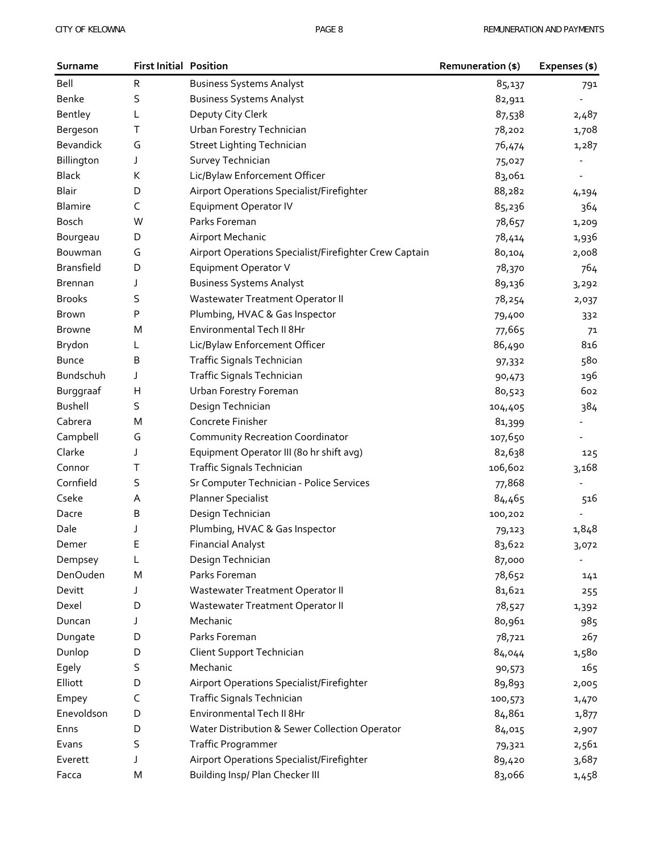| Surname           | <b>First Initial Position</b> |                                                        | Remuneration (\$) | Expenses (\$) |
|-------------------|-------------------------------|--------------------------------------------------------|-------------------|---------------|
| Bell              | R                             | <b>Business Systems Analyst</b>                        | 85,137            | 791           |
| Benke             | S                             | <b>Business Systems Analyst</b>                        | 82,911            |               |
| Bentley           | L                             | Deputy City Clerk                                      | 87,538            | 2,487         |
| Bergeson          | Τ                             | Urban Forestry Technician                              | 78,202            | 1,708         |
| Bevandick         | G                             | <b>Street Lighting Technician</b>                      | 76,474            | 1,287         |
| Billington        | J                             | Survey Technician                                      | 75,027            |               |
| <b>Black</b>      | К                             | Lic/Bylaw Enforcement Officer                          | 83,061            |               |
| Blair             | D                             | Airport Operations Specialist/Firefighter              | 88,282            | 4,194         |
| <b>Blamire</b>    | C                             | <b>Equipment Operator IV</b>                           | 85,236            | 364           |
| Bosch             | W                             | Parks Foreman                                          | 78,657            | 1,209         |
| Bourgeau          | D                             | Airport Mechanic                                       | 78,414            | 1,936         |
| Bouwman           | G                             | Airport Operations Specialist/Firefighter Crew Captain | 80,104            | 2,008         |
| <b>Bransfield</b> | D                             | <b>Equipment Operator V</b>                            | 78,370            | 764           |
| <b>Brennan</b>    | J                             | <b>Business Systems Analyst</b>                        | 89,136            | 3,292         |
| <b>Brooks</b>     | S                             | Wastewater Treatment Operator II                       | 78,254            | 2,037         |
| Brown             | Ρ                             | Plumbing, HVAC & Gas Inspector                         | 79,400            | 332           |
| <b>Browne</b>     | M                             | Environmental Tech II 8Hr                              | 77,665            | 71            |
| Brydon            | L                             | Lic/Bylaw Enforcement Officer                          | 86,490            | 816           |
| <b>Bunce</b>      | В                             | Traffic Signals Technician                             | 97,332            | 580           |
| Bundschuh         | J                             | Traffic Signals Technician                             | 90,473            | 196           |
| Burggraaf         | Н                             | Urban Forestry Foreman                                 | 80,523            | 602           |
| <b>Bushell</b>    | S                             | Design Technician                                      | 104,405           | 384           |
| Cabrera           | M                             | Concrete Finisher                                      | 81,399            |               |
| Campbell          | G                             | <b>Community Recreation Coordinator</b>                | 107,650           |               |
| Clarke            | J                             | Equipment Operator III (80 hr shift avg)               | 82,638            | 125           |
| Connor            | Τ                             | Traffic Signals Technician                             | 106,602           | 3,168         |
| Cornfield         | S                             | Sr Computer Technician - Police Services               | 77,868            |               |
| Cseke             | Α                             | <b>Planner Specialist</b>                              | 84,465            | 516           |
| Dacre             | В                             | Design Technician                                      | 100,202           |               |
| Dale              | J                             | Plumbing, HVAC & Gas Inspector                         | 79,123            | 1,848         |
| Demer             | Е                             | <b>Financial Analyst</b>                               | 83,622            | 3,072         |
| Dempsey           | L                             | Design Technician                                      | 87,000            |               |
| DenOuden          | M                             | Parks Foreman                                          | 78,652            | 141           |
| Devitt            | J                             | Wastewater Treatment Operator II                       | 81,621            | 255           |
| Dexel             | D                             | Wastewater Treatment Operator II                       | 78,527            | 1,392         |
| Duncan            | J                             | Mechanic                                               | 80,961            | 985           |
| Dungate           | D                             | Parks Foreman                                          | 78,721            | 267           |
| Dunlop            | D                             | Client Support Technician                              | 84,044            | 1,580         |
| Egely             | S                             | Mechanic                                               | 90,573            | 165           |
| Elliott           | D                             | Airport Operations Specialist/Firefighter              | 89,893            | 2,005         |
| Empey             | C                             | Traffic Signals Technician                             | 100,573           | 1,470         |
| Enevoldson        | D                             | Environmental Tech II 8Hr                              | 84,861            | 1,877         |
| Enns              | D                             | Water Distribution & Sewer Collection Operator         | 84,015            | 2,907         |
| Evans             | S                             | Traffic Programmer                                     | 79,321            | 2,561         |
| Everett           | J                             | Airport Operations Specialist/Firefighter              | 89,420            | 3,687         |
| Facca             | M                             | Building Insp/ Plan Checker III                        | 83,066            | 1,458         |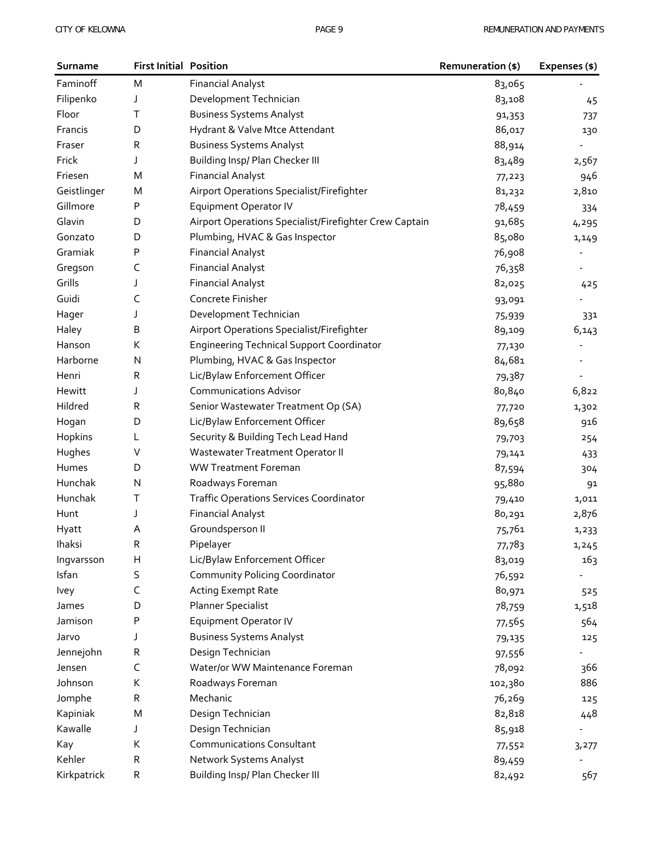| Surname     | <b>First Initial Position</b> |                                                        | Remuneration (\$) | Expenses (\$)            |
|-------------|-------------------------------|--------------------------------------------------------|-------------------|--------------------------|
| Faminoff    | M                             | <b>Financial Analyst</b>                               | 83,065            |                          |
| Filipenko   | J                             | Development Technician                                 | 83,108            | 45                       |
| Floor       | Τ                             | <b>Business Systems Analyst</b>                        | 91,353            | 737                      |
| Francis     | D                             | Hydrant & Valve Mtce Attendant                         | 86,017            | 130                      |
| Fraser      | R                             | <b>Business Systems Analyst</b>                        | 88,914            |                          |
| Frick       | J                             | Building Insp/ Plan Checker III                        | 83,489            | 2,567                    |
| Friesen     | M                             | <b>Financial Analyst</b>                               | 77,223            | 946                      |
| Geistlinger | M                             | Airport Operations Specialist/Firefighter              | 81,232            | 2,810                    |
| Gillmore    | Ρ                             | <b>Equipment Operator IV</b>                           | 78,459            | 334                      |
| Glavin      | D                             | Airport Operations Specialist/Firefighter Crew Captain | 91,685            | 4,295                    |
| Gonzato     | D                             | Plumbing, HVAC & Gas Inspector                         | 85,080            | 1,149                    |
| Gramiak     | Ρ                             | <b>Financial Analyst</b>                               | 76,908            | $\overline{\phantom{a}}$ |
| Gregson     | C                             | <b>Financial Analyst</b>                               | 76,358            |                          |
| Grills      | J                             | <b>Financial Analyst</b>                               | 82,025            | 425                      |
| Guidi       | C                             | Concrete Finisher                                      | 93,091            |                          |
| Hager       | J                             | Development Technician                                 | 75,939            | 331                      |
| Haley       | В                             | Airport Operations Specialist/Firefighter              | 89,109            | 6,143                    |
| Hanson      | K                             | <b>Engineering Technical Support Coordinator</b>       | 77,130            |                          |
| Harborne    | Ν                             | Plumbing, HVAC & Gas Inspector                         | 84,681            |                          |
| Henri       | R                             | Lic/Bylaw Enforcement Officer                          | 79,387            |                          |
| Hewitt      | J                             | <b>Communications Advisor</b>                          | 80,840            | 6,822                    |
| Hildred     | R                             | Senior Wastewater Treatment Op (SA)                    | 77,720            | 1,302                    |
| Hogan       | D                             | Lic/Bylaw Enforcement Officer                          | 89,658            | 916                      |
| Hopkins     | L                             | Security & Building Tech Lead Hand                     | 79,703            | 254                      |
| Hughes      | V                             | Wastewater Treatment Operator II                       | 79,141            | 433                      |
| Humes       | D                             | <b>WW Treatment Foreman</b>                            | 87,594            | 304                      |
| Hunchak     | N                             | Roadways Foreman                                       | 95,880            | 91                       |
| Hunchak     | т                             | <b>Traffic Operations Services Coordinator</b>         | 79,410            | 1,011                    |
| Hunt        | J                             | <b>Financial Analyst</b>                               | 80,291            | 2,876                    |
| Hyatt       | Α                             | Groundsperson II                                       | 75,761            | 1,233                    |
| Ihaksi      | R                             | Pipelayer                                              | 77,783            | 1,245                    |
| Ingvarsson  | н                             | Lic/Bylaw Enforcement Officer                          | 83,019            | 163                      |
| Isfan       | S                             | Community Policing Coordinator                         | 76,592            |                          |
| Ivey        | C                             | <b>Acting Exempt Rate</b>                              | 80,971            | 525                      |
| James       | D                             | <b>Planner Specialist</b>                              | 78,759            | 1,518                    |
| Jamison     | Ρ                             | <b>Equipment Operator IV</b>                           | 77,565            | 564                      |
| Jarvo       | J                             | <b>Business Systems Analyst</b>                        | 79,135            | 125                      |
| Jennejohn   | R                             | Design Technician                                      | 97,556            |                          |
| Jensen      | C                             | Water/or WW Maintenance Foreman                        | 78,092            | 366                      |
| Johnson     | К                             | Roadways Foreman                                       | 102,380           | 886                      |
| Jomphe      | R                             | Mechanic                                               | 76,269            | 125                      |
| Kapiniak    | M                             | Design Technician                                      | 82,818            | 448                      |
| Kawalle     | J                             | Design Technician                                      | 85,918            |                          |
| Kay         | K                             | <b>Communications Consultant</b>                       | 77,552            | 3,277                    |
| Kehler      | R                             | Network Systems Analyst                                | 89,459            |                          |
| Kirkpatrick | R                             | Building Insp/ Plan Checker III                        | 82,492            | 567                      |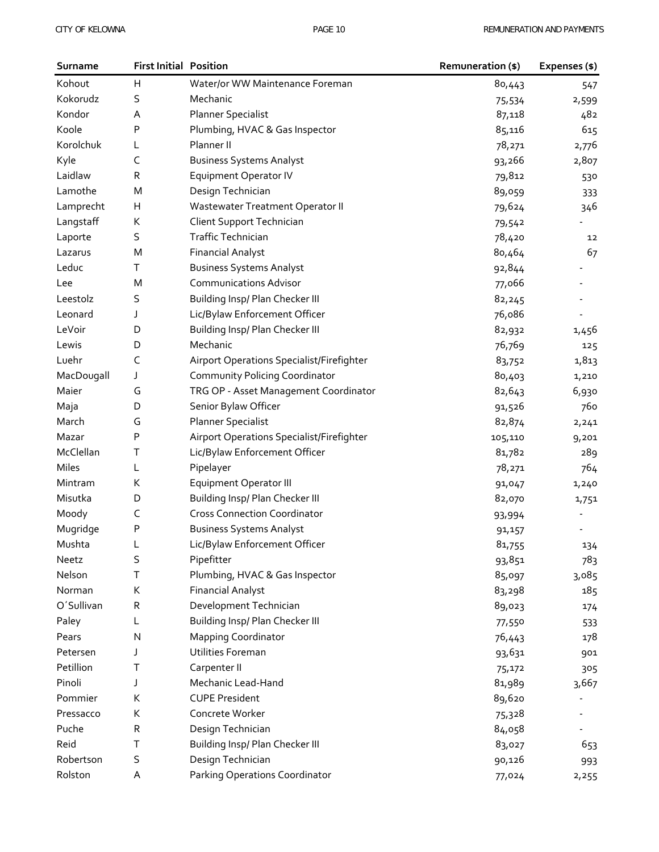| Surname    | <b>First Initial Position</b> |                                           | <b>Remuneration (\$)</b> | Expenses (\$)            |
|------------|-------------------------------|-------------------------------------------|--------------------------|--------------------------|
| Kohout     | н                             | Water/or WW Maintenance Foreman           | 80,443                   | 547                      |
| Kokorudz   | S                             | Mechanic                                  | 75,534                   | 2,599                    |
| Kondor     | Α                             | <b>Planner Specialist</b>                 | 87,118                   | 482                      |
| Koole      | P                             | Plumbing, HVAC & Gas Inspector            | 85,116                   | 615                      |
| Korolchuk  | L                             | Planner II                                | 78,271                   | 2,776                    |
| Kyle       | C                             | <b>Business Systems Analyst</b>           | 93,266                   | 2,807                    |
| Laidlaw    | R                             | <b>Equipment Operator IV</b>              | 79,812                   | 530                      |
| Lamothe    | M                             | Design Technician                         | 89,059                   | 333                      |
| Lamprecht  | н                             | Wastewater Treatment Operator II          | 79,624                   | 346                      |
| Langstaff  | К                             | Client Support Technician                 | 79,542                   |                          |
| Laporte    | S                             | <b>Traffic Technician</b>                 | 78,420                   | 12                       |
| Lazarus    | M                             | <b>Financial Analyst</b>                  | 80,464                   | 67                       |
| Leduc      | т                             | <b>Business Systems Analyst</b>           | 92,844                   |                          |
| Lee        | M                             | <b>Communications Advisor</b>             | 77,066                   |                          |
| Leestolz   | S                             | Building Insp/ Plan Checker III           | 82,245                   |                          |
| Leonard    | J                             | Lic/Bylaw Enforcement Officer             | 76,086                   |                          |
| LeVoir     | D                             | Building Insp/ Plan Checker III           | 82,932                   | 1,456                    |
| Lewis      | D                             | Mechanic                                  | 76,769                   | 125                      |
| Luehr      | C                             | Airport Operations Specialist/Firefighter | 83,752                   | 1,813                    |
| MacDougall | J                             | Community Policing Coordinator            | 80,403                   | 1,210                    |
| Maier      | G                             | TRG OP - Asset Management Coordinator     | 82,643                   | 6,930                    |
| Maja       | D                             | Senior Bylaw Officer                      | 91,526                   | 760                      |
| March      | G                             | <b>Planner Specialist</b>                 | 82,874                   | 2,241                    |
| Mazar      | P                             | Airport Operations Specialist/Firefighter | 105,110                  | 9,201                    |
| McClellan  | т                             | Lic/Bylaw Enforcement Officer             | 81,782                   | 289                      |
| Miles      | L                             | Pipelayer                                 | 78,271                   | 764                      |
| Mintram    | К                             | Equipment Operator III                    | 91,047                   | 1,240                    |
| Misutka    | D                             | Building Insp/ Plan Checker III           | 82,070                   | 1,751                    |
| Moody      | C                             | <b>Cross Connection Coordinator</b>       | 93,994                   |                          |
| Mugridge   | Ρ                             | <b>Business Systems Analyst</b>           | 91,157                   | $\overline{\phantom{a}}$ |
| Mushta     | L                             | Lic/Bylaw Enforcement Officer             | 81,755                   | 134                      |
| Neetz      | S                             | Pipefitter                                | 93,851                   | 783                      |
| Nelson     | т                             | Plumbing, HVAC & Gas Inspector            | 85,097                   | 3,085                    |
| Norman     | К                             | <b>Financial Analyst</b>                  | 83,298                   | 185                      |
| O'Sullivan | R                             | Development Technician                    | 89,023                   | 174                      |
| Paley      | L                             | Building Insp/ Plan Checker III           | 77,550                   | 533                      |
| Pears      | N                             | <b>Mapping Coordinator</b>                | 76,443                   | 178                      |
| Petersen   | J                             | Utilities Foreman                         | 93,631                   | 901                      |
| Petillion  | Τ                             | Carpenter II                              | 75,172                   | 305                      |
| Pinoli     | J                             | Mechanic Lead-Hand                        | 81,989                   | 3,667                    |
| Pommier    | К                             | <b>CUPE President</b>                     | 89,620                   |                          |
| Pressacco  | К                             | Concrete Worker                           | 75,328                   |                          |
| Puche      | R                             | Design Technician                         | 84,058                   |                          |
| Reid       | т                             | Building Insp/ Plan Checker III           | 83,027                   | 653                      |
| Robertson  | S                             | Design Technician                         | 90,126                   | 993                      |
| Rolston    | Α                             | Parking Operations Coordinator            | 77,024                   | 2,255                    |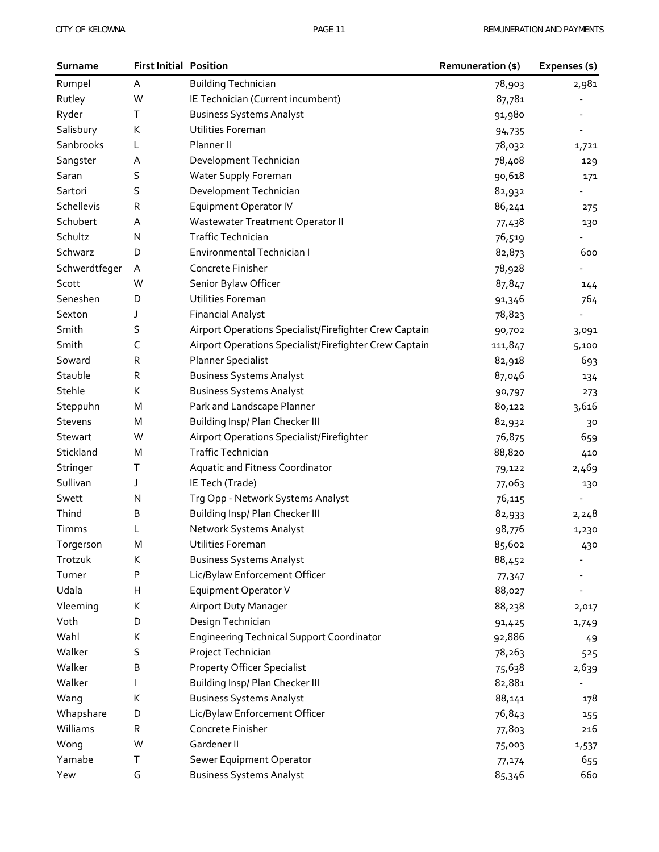| Surname        | <b>First Initial Position</b> |                                                        | Remuneration (\$) | Expenses (\$) |
|----------------|-------------------------------|--------------------------------------------------------|-------------------|---------------|
| Rumpel         | Α                             | <b>Building Technician</b>                             | 78,903            | 2,981         |
| Rutley         | W                             | IE Technician (Current incumbent)                      | 87,781            |               |
| Ryder          | T                             | <b>Business Systems Analyst</b>                        | 91,980            |               |
| Salisbury      | К                             | Utilities Foreman                                      | 94,735            |               |
| Sanbrooks      | L                             | Planner II                                             | 78,032            | 1,721         |
| Sangster       | A                             | Development Technician                                 | 78,408            | 129           |
| Saran          | S                             | Water Supply Foreman                                   | 90,618            | 171           |
| Sartori        | S                             | Development Technician                                 | 82,932            |               |
| Schellevis     | R                             | <b>Equipment Operator IV</b>                           | 86,241            | 275           |
| Schubert       | Α                             | Wastewater Treatment Operator II                       | 77,438            | 130           |
| Schultz        | N                             | <b>Traffic Technician</b>                              | 76,519            |               |
| Schwarz        | D                             | Environmental Technician I                             | 82,873            | 600           |
| Schwerdtfeger  | A                             | Concrete Finisher                                      | 78,928            |               |
| Scott          | W                             | Senior Bylaw Officer                                   | 87,847            | 144           |
| Seneshen       | D                             | Utilities Foreman                                      | 91,346            | 764           |
| Sexton         | J                             | <b>Financial Analyst</b>                               | 78,823            |               |
| Smith          | S                             | Airport Operations Specialist/Firefighter Crew Captain | 90,702            | 3,091         |
| Smith          | C                             | Airport Operations Specialist/Firefighter Crew Captain | 111,847           | 5,100         |
| Soward         | R                             | <b>Planner Specialist</b>                              | 82,918            | 693           |
| Stauble        | R                             | <b>Business Systems Analyst</b>                        | 87,046            | 134           |
| Stehle         | К                             | <b>Business Systems Analyst</b>                        | 90,797            | 273           |
| Steppuhn       | M                             | Park and Landscape Planner                             | 80,122            | 3,616         |
| <b>Stevens</b> | M                             | Building Insp/ Plan Checker III                        | 82,932            | 30            |
| Stewart        | W                             | Airport Operations Specialist/Firefighter              | 76,875            | 659           |
| Stickland      | M                             | <b>Traffic Technician</b>                              | 88,820            | 410           |
| Stringer       | Τ                             | Aquatic and Fitness Coordinator                        | 79,122            | 2,469         |
| Sullivan       | J                             | IE Tech (Trade)                                        | 77,063            | 130           |
| Swett          | N                             | Trq Opp - Network Systems Analyst                      | 76,115            |               |
| Thind          | B                             | Building Insp/ Plan Checker III                        | 82,933            | 2,248         |
| Timms          | L                             | Network Systems Analyst                                | 98,776            | 1,230         |
| Torgerson      | M                             | Utilities Foreman                                      | 85,602            | 430           |
| Trotzuk        | К                             | <b>Business Systems Analyst</b>                        | 88,452            |               |
| Turner         | Ρ                             | Lic/Bylaw Enforcement Officer                          | 77,347            |               |
| Udala          | Н                             | Equipment Operator V                                   | 88,027            |               |
| Vleeming       | К                             | <b>Airport Duty Manager</b>                            | 88,238            | 2,017         |
| Voth           | D                             | Design Technician                                      | 91,425            | 1,749         |
| Wahl           | К                             | <b>Engineering Technical Support Coordinator</b>       | 92,886            | 49            |
| Walker         | S                             | Project Technician                                     | 78,263            | 525           |
| Walker         | В                             | <b>Property Officer Specialist</b>                     | 75,638            | 2,639         |
| Walker         |                               | Building Insp/ Plan Checker III                        | 82,881            |               |
| Wang           | К                             | <b>Business Systems Analyst</b>                        | 88,141            | 178           |
| Whapshare      | D                             | Lic/Bylaw Enforcement Officer                          | 76,843            | 155           |
| Williams       | R                             | Concrete Finisher                                      | 77,803            | 216           |
| Wong           | W                             | Gardener II                                            | 75,003            | 1,537         |
| Yamabe         | Т                             | Sewer Equipment Operator                               | 77,174            | 655           |
| Yew            | G                             | <b>Business Systems Analyst</b>                        | 85,346            | 660           |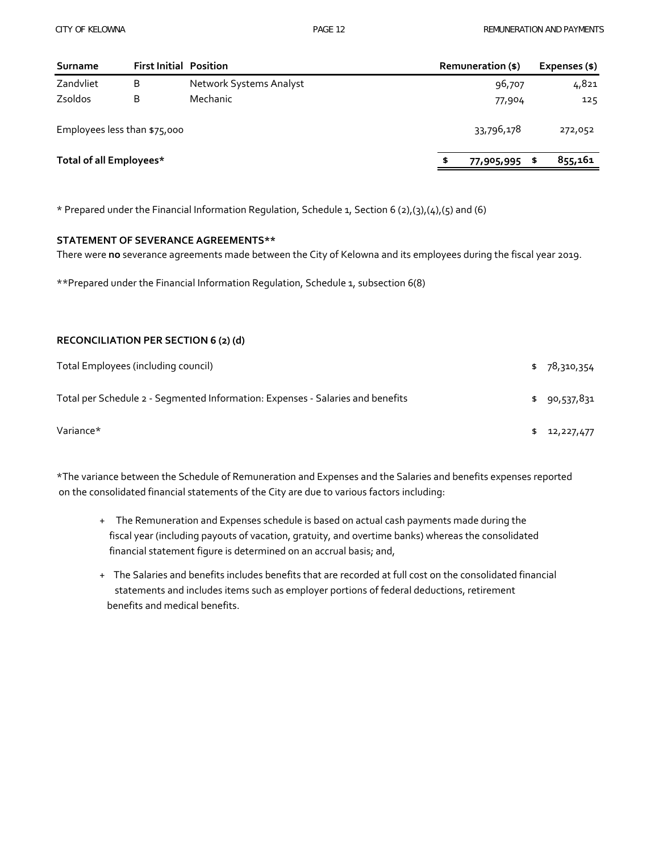| Surname                      | <b>First Initial Position</b> |                         | Remuneration (\$) | Expenses (\$) |
|------------------------------|-------------------------------|-------------------------|-------------------|---------------|
| Zandvliet                    | B                             | Network Systems Analyst | 96,707            | 4,821         |
| Zsoldos                      | B                             | Mechanic                | 77,904            | 125           |
| Employees less than \$75,000 |                               |                         | 33,796,178        | 272,052       |
| Total of all Employees*      |                               |                         | \$<br>77,905,995  | 855,161<br>S  |

\* Prepared under the Financial Information Regulation, Schedule 1, Section 6 (2),(3),(4),(5) and (6)

#### **STATEMENT OF SEVERANCE AGREEMENTS\*\***

There were **no** severance agreements made between the City of Kelowna and its employees during the fiscal year 2019.

\*\*Prepared under the Financial Information Regulation, Schedule 1, subsection 6(8)

#### **RECONCILIATION PER SECTION 6 (2) (d)**

| Total Employees (including council)                                            | \$78,310,354 |
|--------------------------------------------------------------------------------|--------------|
| Total per Schedule 2 - Segmented Information: Expenses - Salaries and benefits | \$90,537,831 |
| Variance*                                                                      | \$12,227,477 |

\*The variance between the Schedule of Remuneration and Expenses and the Salaries and benefits expenses reported on the consolidated financial statements of the City are due to various factors including:

- + The Remuneration and Expenses schedule is based on actual cash payments made during the fiscal year (including payouts of vacation, gratuity, and overtime banks) whereas the consolidated financial statement figure is determined on an accrual basis; and,
- + The Salaries and benefits includes benefits that are recorded at full cost on the consolidated financial statements and includes items such as employer portions of federal deductions, retirement benefits and medical benefits.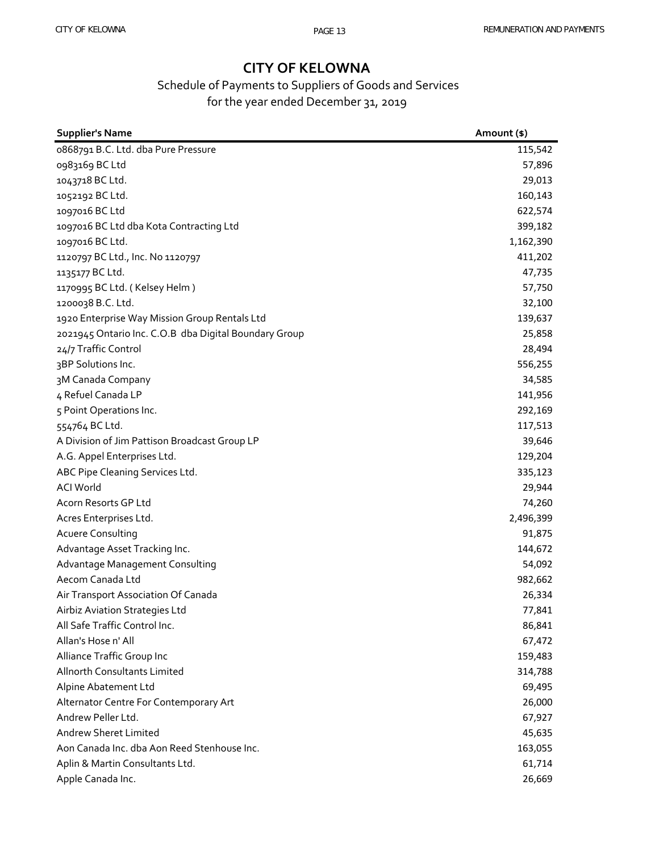### Schedule of Payments to Suppliers of Goods and Services for the year ended December 31, 2019

| <b>Supplier's Name</b>                                | Amount (\$) |
|-------------------------------------------------------|-------------|
| 0868791 B.C. Ltd. dba Pure Pressure                   | 115,542     |
| 0983169 BC Ltd                                        | 57,896      |
| 1043718 BC Ltd.                                       | 29,013      |
| 1052192 BC Ltd.                                       | 160,143     |
| 1097016 BC Ltd                                        | 622,574     |
| 1097016 BC Ltd dba Kota Contracting Ltd               | 399,182     |
| 1097016 BC Ltd.                                       | 1,162,390   |
| 1120797 BC Ltd., Inc. No 1120797                      | 411,202     |
| 1135177 BC Ltd.                                       | 47,735      |
| 1170995 BC Ltd. (Kelsey Helm)                         | 57,750      |
| 1200038 B.C. Ltd.                                     | 32,100      |
| 1920 Enterprise Way Mission Group Rentals Ltd         | 139,637     |
| 2021945 Ontario Inc. C.O.B dba Digital Boundary Group | 25,858      |
| 24/7 Traffic Control                                  | 28,494      |
| 3BP Solutions Inc.                                    | 556,255     |
| 3M Canada Company                                     | 34,585      |
| 4 Refuel Canada LP                                    | 141,956     |
| 5 Point Operations Inc.                               | 292,169     |
| 554764 BC Ltd.                                        | 117,513     |
| A Division of Jim Pattison Broadcast Group LP         | 39,646      |
| A.G. Appel Enterprises Ltd.                           | 129,204     |
| ABC Pipe Cleaning Services Ltd.                       | 335,123     |
| <b>ACI World</b>                                      | 29,944      |
| Acorn Resorts GP Ltd                                  | 74,260      |
| Acres Enterprises Ltd.                                | 2,496,399   |
| <b>Acuere Consulting</b>                              | 91,875      |
| Advantage Asset Tracking Inc.                         | 144,672     |
| Advantage Management Consulting                       | 54,092      |
| Aecom Canada Ltd                                      | 982,662     |
| Air Transport Association Of Canada                   | 26,334      |
| Airbiz Aviation Strategies Ltd                        | 77,841      |
| All Safe Traffic Control Inc.                         | 86,841      |
| Allan's Hose n' All                                   | 67,472      |
| Alliance Traffic Group Inc                            | 159,483     |
| Allnorth Consultants Limited                          | 314,788     |
| Alpine Abatement Ltd                                  | 69,495      |
| Alternator Centre For Contemporary Art                | 26,000      |
| Andrew Peller Ltd.                                    | 67,927      |
| <b>Andrew Sheret Limited</b>                          | 45,635      |
| Aon Canada Inc. dba Aon Reed Stenhouse Inc.           | 163,055     |
| Aplin & Martin Consultants Ltd.                       | 61,714      |
| Apple Canada Inc.                                     | 26,669      |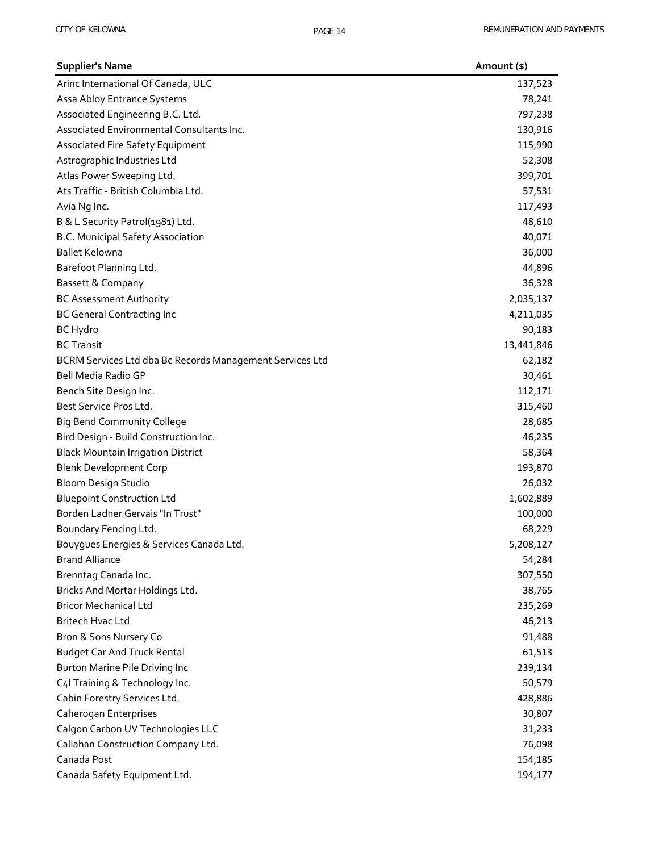| <b>Supplier's Name</b>                                   | Amount (\$) |
|----------------------------------------------------------|-------------|
| Arinc International Of Canada, ULC                       | 137,523     |
| Assa Abloy Entrance Systems                              | 78,241      |
| Associated Engineering B.C. Ltd.                         | 797,238     |
| Associated Environmental Consultants Inc.                | 130,916     |
| Associated Fire Safety Equipment                         | 115,990     |
| Astrographic Industries Ltd                              | 52,308      |
| Atlas Power Sweeping Ltd.                                | 399,701     |
| Ats Traffic - British Columbia Ltd.                      | 57,531      |
| Avia Ng Inc.                                             | 117,493     |
| B & L Security Patrol(1981) Ltd.                         | 48,610      |
| B.C. Municipal Safety Association                        | 40,071      |
| <b>Ballet Kelowna</b>                                    | 36,000      |
| Barefoot Planning Ltd.                                   | 44,896      |
| Bassett & Company                                        | 36,328      |
| <b>BC Assessment Authority</b>                           | 2,035,137   |
| <b>BC General Contracting Inc</b>                        | 4,211,035   |
| <b>BC Hydro</b>                                          | 90,183      |
| <b>BC Transit</b>                                        | 13,441,846  |
| BCRM Services Ltd dba Bc Records Management Services Ltd | 62,182      |
| Bell Media Radio GP                                      | 30,461      |
| Bench Site Design Inc.                                   | 112,171     |
| Best Service Pros Ltd.                                   | 315,460     |
| <b>Big Bend Community College</b>                        | 28,685      |
| Bird Design - Build Construction Inc.                    | 46,235      |
| <b>Black Mountain Irrigation District</b>                | 58,364      |
| <b>Blenk Development Corp</b>                            | 193,870     |
| Bloom Design Studio                                      | 26,032      |
| <b>Bluepoint Construction Ltd</b>                        | 1,602,889   |
| Borden Ladner Gervais "In Trust"                         | 100,000     |
| Boundary Fencing Ltd.                                    | 68,229      |
| Bouyques Energies & Services Canada Ltd.                 | 5,208,127   |
| <b>Brand Alliance</b>                                    | 54,284      |
| Brenntag Canada Inc.                                     | 307,550     |
| Bricks And Mortar Holdings Ltd.                          | 38,765      |
| <b>Bricor Mechanical Ltd</b>                             | 235,269     |
| <b>Britech Hvac Ltd</b>                                  | 46,213      |
| Bron & Sons Nursery Co                                   | 91,488      |
| <b>Budget Car And Truck Rental</b>                       | 61,513      |
| Burton Marine Pile Driving Inc                           | 239,134     |
| C4I Training & Technology Inc.                           | 50,579      |
| Cabin Forestry Services Ltd.                             | 428,886     |
| Caherogan Enterprises                                    | 30,807      |
| Calgon Carbon UV Technologies LLC                        | 31,233      |
| Callahan Construction Company Ltd.                       | 76,098      |
| Canada Post                                              | 154,185     |
| Canada Safety Equipment Ltd.                             | 194,177     |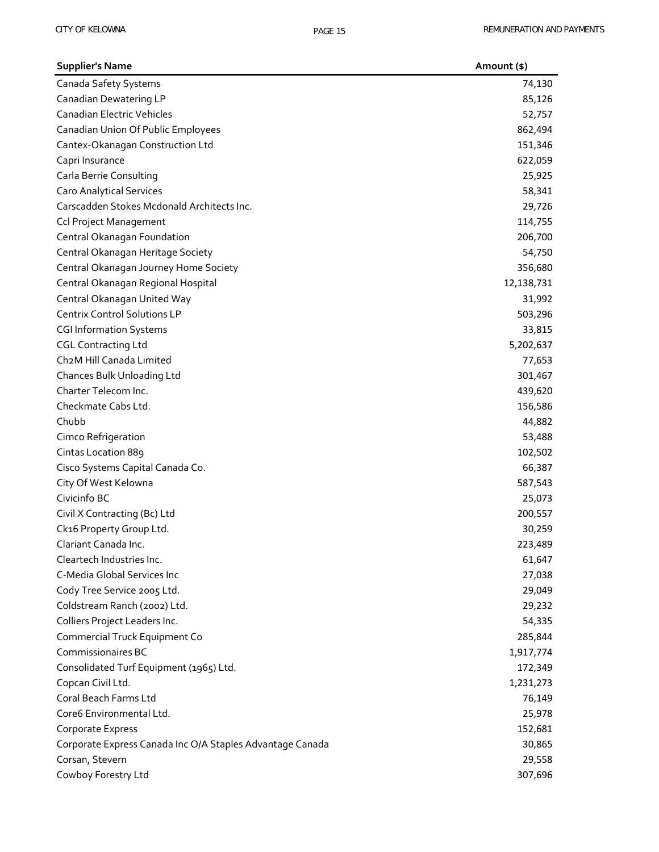| <b>Supplier's Name</b>                                    | Amount (\$) |
|-----------------------------------------------------------|-------------|
| Canada Safety Systems                                     | 74,130      |
| Canadian Dewatering LP                                    | 85,126      |
| <b>Canadian Electric Vehicles</b>                         | 52,757      |
| Canadian Union Of Public Employees                        | 862,494     |
| Cantex-Okanagan Construction Ltd                          | 151,346     |
| Capri Insurance                                           | 622,059     |
| Carla Berrie Consulting                                   | 25,925      |
| <b>Caro Analytical Services</b>                           | 58,341      |
| Carscadden Stokes Mcdonald Architects Inc.                | 29,726      |
| <b>Ccl Project Management</b>                             | 114,755     |
| Central Okanagan Foundation                               | 206,700     |
| Central Okanagan Heritage Society                         | 54,750      |
| Central Okanagan Journey Home Society                     | 356,680     |
| Central Okanagan Regional Hospital                        | 12,138,731  |
| Central Okanagan United Way                               | 31,992      |
| <b>Centrix Control Solutions LP</b>                       | 503,296     |
| <b>CGI Information Systems</b>                            | 33,815      |
| <b>CGL Contracting Ltd</b>                                | 5,202,637   |
| Ch2M Hill Canada Limited                                  | 77,653      |
| Chances Bulk Unloading Ltd                                | 301,467     |
| Charter Telecom Inc.                                      | 439,620     |
| Checkmate Cabs Ltd.                                       | 156,586     |
| Chubb                                                     | 44,882      |
| Cimco Refrigeration                                       | 53,488      |
| Cintas Location 889                                       | 102,502     |
| Cisco Systems Capital Canada Co.                          | 66,387      |
| City Of West Kelowna                                      | 587,543     |
| Civicinfo BC                                              | 25,073      |
| Civil X Contracting (Bc) Ltd                              | 200,557     |
| Ck16 Property Group Ltd.                                  | 30,259      |
| Clariant Canada Inc.                                      | 223,489     |
| Cleartech Industries Inc.                                 | 61,647      |
| C-Media Global Services Inc                               | 27,038      |
| Cody Tree Service 2005 Ltd.                               | 29,049      |
| Coldstream Ranch (2002) Ltd.                              | 29,232      |
| Colliers Project Leaders Inc.                             | 54,335      |
| Commercial Truck Equipment Co                             | 285,844     |
| <b>Commissionaires BC</b>                                 | 1,917,774   |
| Consolidated Turf Equipment (1965) Ltd.                   | 172,349     |
| Copcan Civil Ltd.                                         | 1,231,273   |
| Coral Beach Farms Ltd                                     | 76,149      |
| Core6 Environmental Ltd.                                  | 25,978      |
| Corporate Express                                         | 152,681     |
| Corporate Express Canada Inc O/A Staples Advantage Canada | 30,865      |
| Corsan, Stevern                                           | 29,558      |
| Cowboy Forestry Ltd                                       | 307,696     |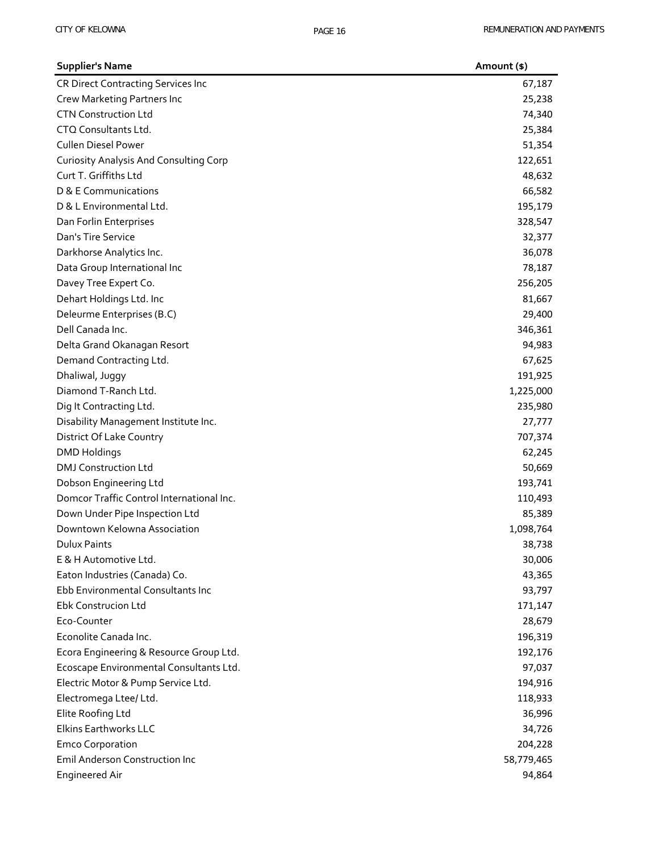| <b>Supplier's Name</b>                        | Amount (\$) |
|-----------------------------------------------|-------------|
| <b>CR Direct Contracting Services Inc</b>     | 67,187      |
| Crew Marketing Partners Inc                   | 25,238      |
| <b>CTN Construction Ltd</b>                   | 74,340      |
| CTQ Consultants Ltd.                          | 25,384      |
| <b>Cullen Diesel Power</b>                    | 51,354      |
| <b>Curiosity Analysis And Consulting Corp</b> | 122,651     |
| Curt T. Griffiths Ltd                         | 48,632      |
| D & E Communications                          | 66,582      |
| D & L Environmental Ltd.                      | 195,179     |
| Dan Forlin Enterprises                        | 328,547     |
| Dan's Tire Service                            | 32,377      |
| Darkhorse Analytics Inc.                      | 36,078      |
| Data Group International Inc                  | 78,187      |
| Davey Tree Expert Co.                         | 256,205     |
| Dehart Holdings Ltd. Inc                      | 81,667      |
| Deleurme Enterprises (B.C)                    | 29,400      |
| Dell Canada Inc.                              | 346,361     |
| Delta Grand Okanagan Resort                   | 94,983      |
| Demand Contracting Ltd.                       | 67,625      |
| Dhaliwal, Juggy                               | 191,925     |
| Diamond T-Ranch Ltd.                          | 1,225,000   |
| Dig It Contracting Ltd.                       | 235,980     |
| Disability Management Institute Inc.          | 27,777      |
| District Of Lake Country                      | 707,374     |
| <b>DMD Holdings</b>                           | 62,245      |
| <b>DMJ Construction Ltd</b>                   | 50,669      |
| Dobson Engineering Ltd                        | 193,741     |
| Domcor Traffic Control International Inc.     | 110,493     |
| Down Under Pipe Inspection Ltd                | 85,389      |
| Downtown Kelowna Association                  | 1,098,764   |
| <b>Dulux Paints</b>                           | 38,738      |
| E & H Automotive Ltd.                         | 30,006      |
| Eaton Industries (Canada) Co.                 | 43,365      |
| Ebb Environmental Consultants Inc             | 93,797      |
| Ebk Construcion Ltd                           | 171,147     |
| Eco-Counter                                   | 28,679      |
| Econolite Canada Inc.                         | 196,319     |
| Ecora Engineering & Resource Group Ltd.       | 192,176     |
| Ecoscape Environmental Consultants Ltd.       | 97,037      |
| Electric Motor & Pump Service Ltd.            | 194,916     |
| Electromega Ltee/ Ltd.                        | 118,933     |
| Elite Roofing Ltd                             | 36,996      |
| Elkins Earthworks LLC                         | 34,726      |
| <b>Emco Corporation</b>                       | 204,228     |
| <b>Emil Anderson Construction Inc</b>         | 58,779,465  |
| <b>Engineered Air</b>                         | 94,864      |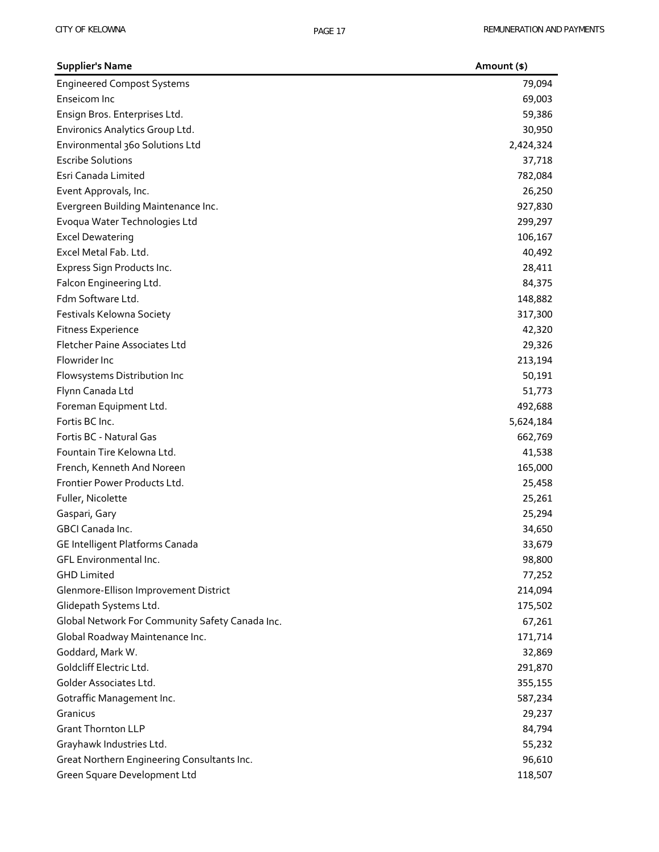| <b>Supplier's Name</b>                          | Amount (\$) |
|-------------------------------------------------|-------------|
| <b>Engineered Compost Systems</b>               | 79,094      |
| Enseicom Inc                                    | 69,003      |
| Ensign Bros. Enterprises Ltd.                   | 59,386      |
| Environics Analytics Group Ltd.                 | 30,950      |
| Environmental 360 Solutions Ltd                 | 2,424,324   |
| <b>Escribe Solutions</b>                        | 37,718      |
| Esri Canada Limited                             | 782,084     |
| Event Approvals, Inc.                           | 26,250      |
| Evergreen Building Maintenance Inc.             | 927,830     |
| Evoqua Water Technologies Ltd                   | 299,297     |
| <b>Excel Dewatering</b>                         | 106,167     |
| Excel Metal Fab. Ltd.                           | 40,492      |
| Express Sign Products Inc.                      | 28,411      |
| Falcon Engineering Ltd.                         | 84,375      |
| Fdm Software Ltd.                               | 148,882     |
| Festivals Kelowna Society                       | 317,300     |
| <b>Fitness Experience</b>                       | 42,320      |
| Fletcher Paine Associates Ltd                   | 29,326      |
| Flowrider Inc                                   | 213,194     |
| Flowsystems Distribution Inc                    | 50,191      |
| Flynn Canada Ltd                                | 51,773      |
| Foreman Equipment Ltd.                          | 492,688     |
| Fortis BC Inc.                                  | 5,624,184   |
| Fortis BC - Natural Gas                         | 662,769     |
| Fountain Tire Kelowna Ltd.                      | 41,538      |
| French, Kenneth And Noreen                      | 165,000     |
| Frontier Power Products Ltd.                    | 25,458      |
| Fuller, Nicolette                               | 25,261      |
| Gaspari, Gary                                   | 25,294      |
| <b>GBCI Canada Inc.</b>                         | 34,650      |
| GE Intelligent Platforms Canada                 | 33,679      |
| GFL Environmental Inc.                          | 98,800      |
| <b>GHD Limited</b>                              | 77,252      |
| Glenmore-Ellison Improvement District           | 214,094     |
| Glidepath Systems Ltd.                          | 175,502     |
| Global Network For Community Safety Canada Inc. | 67,261      |
| Global Roadway Maintenance Inc.                 | 171,714     |
| Goddard, Mark W.                                | 32,869      |
| Goldcliff Electric Ltd.                         | 291,870     |
| Golder Associates Ltd.                          | 355,155     |
| Gotraffic Management Inc.                       | 587,234     |
| Granicus                                        | 29,237      |
| <b>Grant Thornton LLP</b>                       | 84,794      |
| Grayhawk Industries Ltd.                        | 55,232      |
| Great Northern Engineering Consultants Inc.     | 96,610      |
| Green Square Development Ltd                    | 118,507     |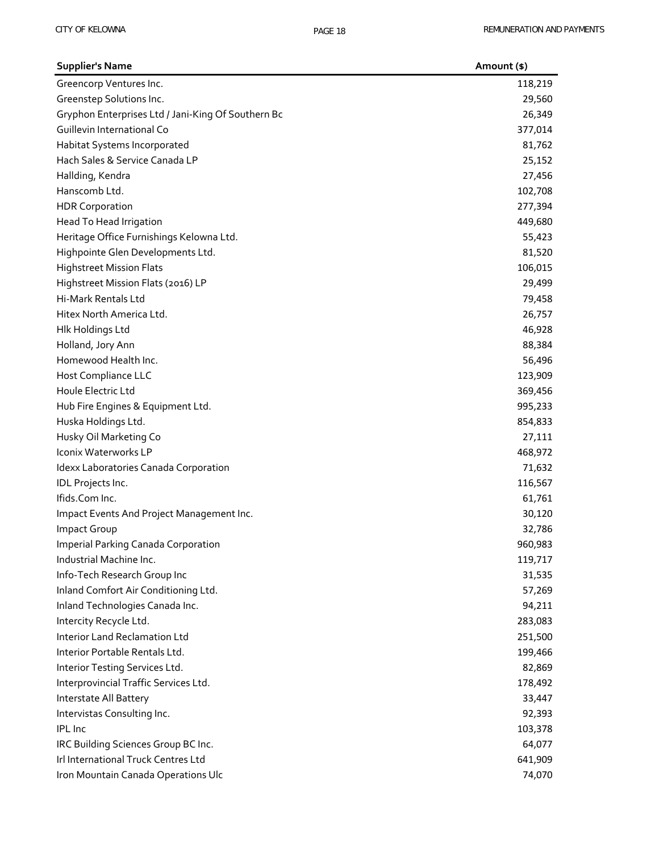| <b>Supplier's Name</b>                             | Amount (\$) |
|----------------------------------------------------|-------------|
| Greencorp Ventures Inc.                            | 118,219     |
| Greenstep Solutions Inc.                           | 29,560      |
| Gryphon Enterprises Ltd / Jani-King Of Southern Bc | 26,349      |
| Guillevin International Co                         | 377,014     |
| Habitat Systems Incorporated                       | 81,762      |
| Hach Sales & Service Canada LP                     | 25,152      |
| Hallding, Kendra                                   | 27,456      |
| Hanscomb Ltd.                                      | 102,708     |
| <b>HDR Corporation</b>                             | 277,394     |
| Head To Head Irrigation                            | 449,680     |
| Heritage Office Furnishings Kelowna Ltd.           | 55,423      |
| Highpointe Glen Developments Ltd.                  | 81,520      |
| <b>Highstreet Mission Flats</b>                    | 106,015     |
| Highstreet Mission Flats (2016) LP                 | 29,499      |
| Hi-Mark Rentals Ltd                                | 79,458      |
| Hitex North America Ltd.                           | 26,757      |
| Hlk Holdings Ltd                                   | 46,928      |
| Holland, Jory Ann                                  | 88,384      |
| Homewood Health Inc.                               | 56,496      |
| Host Compliance LLC                                | 123,909     |
| Houle Electric Ltd                                 | 369,456     |
| Hub Fire Engines & Equipment Ltd.                  | 995,233     |
| Huska Holdings Ltd.                                | 854,833     |
| Husky Oil Marketing Co                             | 27,111      |
| Iconix Waterworks LP                               | 468,972     |
| Idexx Laboratories Canada Corporation              | 71,632      |
| IDL Projects Inc.                                  | 116,567     |
| Ifids.Com Inc.                                     | 61,761      |
| Impact Events And Project Management Inc.          | 30,120      |
| <b>Impact Group</b>                                | 32,786      |
| <b>Imperial Parking Canada Corporation</b>         | 960,983     |
| Industrial Machine Inc.                            | 119,717     |
| Info-Tech Research Group Inc                       | 31,535      |
| Inland Comfort Air Conditioning Ltd.               | 57,269      |
| Inland Technologies Canada Inc.                    | 94,211      |
| Intercity Recycle Ltd.                             | 283,083     |
| <b>Interior Land Reclamation Ltd</b>               | 251,500     |
| Interior Portable Rentals Ltd.                     | 199,466     |
| Interior Testing Services Ltd.                     | 82,869      |
| Interprovincial Traffic Services Ltd.              | 178,492     |
| Interstate All Battery                             | 33,447      |
| Intervistas Consulting Inc.                        | 92,393      |
| <b>IPL</b> Inc                                     | 103,378     |
| IRC Building Sciences Group BC Inc.                | 64,077      |
| Irl International Truck Centres Ltd                | 641,909     |
| Iron Mountain Canada Operations Ulc                | 74,070      |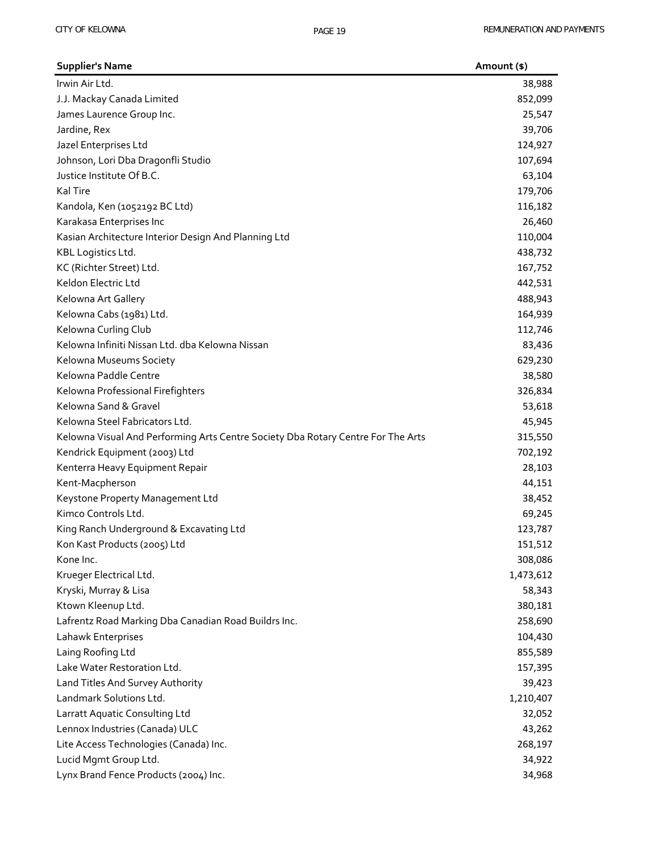| <b>Supplier's Name</b>                                                           | Amount (\$) |
|----------------------------------------------------------------------------------|-------------|
| Irwin Air Ltd.                                                                   | 38,988      |
| J.J. Mackay Canada Limited                                                       | 852,099     |
| James Laurence Group Inc.                                                        | 25,547      |
| Jardine, Rex                                                                     | 39,706      |
| Jazel Enterprises Ltd                                                            | 124,927     |
| Johnson, Lori Dba Dragonfli Studio                                               | 107,694     |
| Justice Institute Of B.C.                                                        | 63,104      |
| Kal Tire                                                                         | 179,706     |
| Kandola, Ken (1052192 BC Ltd)                                                    | 116,182     |
| Karakasa Enterprises Inc                                                         | 26,460      |
| Kasian Architecture Interior Design And Planning Ltd                             | 110,004     |
| KBL Logistics Ltd.                                                               | 438,732     |
| KC (Richter Street) Ltd.                                                         | 167,752     |
| Keldon Electric Ltd                                                              | 442,531     |
| Kelowna Art Gallery                                                              | 488,943     |
| Kelowna Cabs (1981) Ltd.                                                         | 164,939     |
| Kelowna Curling Club                                                             | 112,746     |
| Kelowna Infiniti Nissan Ltd. dba Kelowna Nissan                                  | 83,436      |
| Kelowna Museums Society                                                          | 629,230     |
| Kelowna Paddle Centre                                                            | 38,580      |
| Kelowna Professional Firefighters                                                | 326,834     |
| Kelowna Sand & Gravel                                                            | 53,618      |
| Kelowna Steel Fabricators Ltd.                                                   | 45,945      |
| Kelowna Visual And Performing Arts Centre Society Dba Rotary Centre For The Arts | 315,550     |
| Kendrick Equipment (2003) Ltd                                                    | 702,192     |
| Kenterra Heavy Equipment Repair                                                  | 28,103      |
| Kent-Macpherson                                                                  | 44,151      |
| Keystone Property Management Ltd                                                 | 38,452      |
| Kimco Controls Ltd.                                                              | 69,245      |
| King Ranch Underground & Excavating Ltd                                          | 123,787     |
| Kon Kast Products (2005) Ltd                                                     | 151,512     |
| Kone Inc.                                                                        | 308,086     |
| Krueger Electrical Ltd.                                                          | 1,473,612   |
| Kryski, Murray & Lisa                                                            | 58,343      |
| Ktown Kleenup Ltd.                                                               | 380,181     |
| Lafrentz Road Marking Dba Canadian Road Buildrs Inc.                             | 258,690     |
| Lahawk Enterprises                                                               | 104,430     |
| Laing Roofing Ltd                                                                | 855,589     |
| Lake Water Restoration Ltd.                                                      | 157,395     |
| Land Titles And Survey Authority                                                 | 39,423      |
| Landmark Solutions Ltd.                                                          | 1,210,407   |
| Larratt Aquatic Consulting Ltd                                                   | 32,052      |
| Lennox Industries (Canada) ULC                                                   | 43,262      |
| Lite Access Technologies (Canada) Inc.                                           | 268,197     |
| Lucid Mgmt Group Ltd.                                                            | 34,922      |
| Lynx Brand Fence Products (2004) Inc.                                            | 34,968      |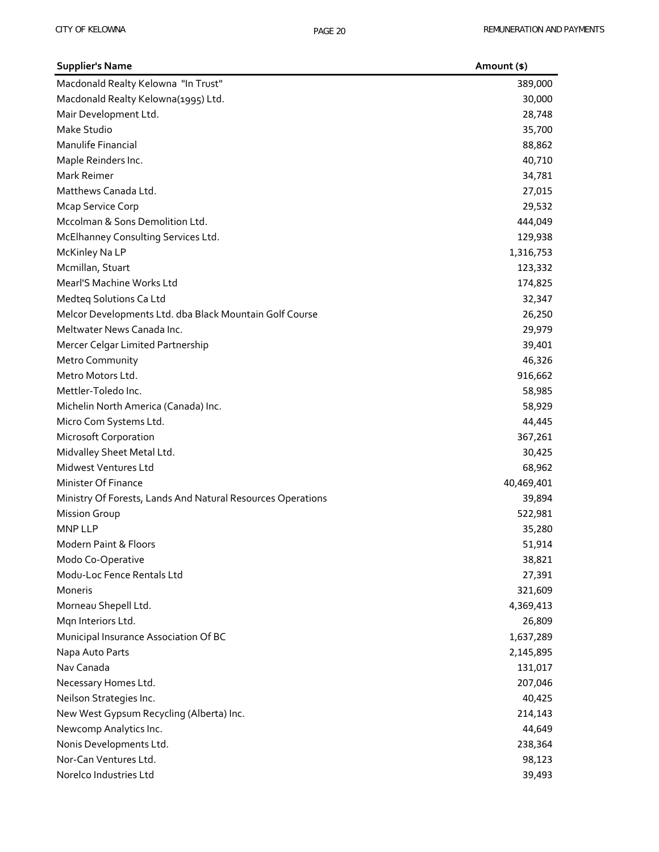| <b>Supplier's Name</b>                                      | Amount (\$) |
|-------------------------------------------------------------|-------------|
| Macdonald Realty Kelowna "In Trust"                         | 389,000     |
| Macdonald Realty Kelowna(1995) Ltd.                         | 30,000      |
| Mair Development Ltd.                                       | 28,748      |
| Make Studio                                                 | 35,700      |
| Manulife Financial                                          | 88,862      |
| Maple Reinders Inc.                                         | 40,710      |
| Mark Reimer                                                 | 34,781      |
| Matthews Canada Ltd.                                        | 27,015      |
| <b>Mcap Service Corp</b>                                    | 29,532      |
| Mccolman & Sons Demolition Ltd.                             | 444,049     |
| McElhanney Consulting Services Ltd.                         | 129,938     |
| McKinley Na LP                                              | 1,316,753   |
| Mcmillan, Stuart                                            | 123,332     |
| Mearl'S Machine Works Ltd                                   | 174,825     |
| Medteq Solutions Ca Ltd                                     | 32,347      |
| Melcor Developments Ltd. dba Black Mountain Golf Course     | 26,250      |
| Meltwater News Canada Inc.                                  | 29,979      |
| Mercer Celgar Limited Partnership                           | 39,401      |
| Metro Community                                             | 46,326      |
| Metro Motors Ltd.                                           | 916,662     |
| Mettler-Toledo Inc.                                         | 58,985      |
| Michelin North America (Canada) Inc.                        | 58,929      |
| Micro Com Systems Ltd.                                      | 44,445      |
| <b>Microsoft Corporation</b>                                | 367,261     |
| Midvalley Sheet Metal Ltd.                                  | 30,425      |
| Midwest Ventures Ltd                                        | 68,962      |
| Minister Of Finance                                         | 40,469,401  |
| Ministry Of Forests, Lands And Natural Resources Operations | 39,894      |
| <b>Mission Group</b>                                        | 522,981     |
| <b>MNP LLP</b>                                              | 35,280      |
| Modern Paint & Floors                                       | 51,914      |
| Modo Co-Operative                                           | 38,821      |
| Modu-Loc Fence Rentals Ltd                                  | 27,391      |
| Moneris                                                     | 321,609     |
| Morneau Shepell Ltd.                                        | 4,369,413   |
| Mqn Interiors Ltd.                                          | 26,809      |
| Municipal Insurance Association Of BC                       | 1,637,289   |
| Napa Auto Parts                                             | 2,145,895   |
| Nav Canada                                                  | 131,017     |
| Necessary Homes Ltd.                                        | 207,046     |
| Neilson Strategies Inc.                                     | 40,425      |
| New West Gypsum Recycling (Alberta) Inc.                    | 214,143     |
| Newcomp Analytics Inc.                                      | 44,649      |
| Nonis Developments Ltd.                                     | 238,364     |
| Nor-Can Ventures Ltd.                                       | 98,123      |
| Norelco Industries Ltd                                      | 39,493      |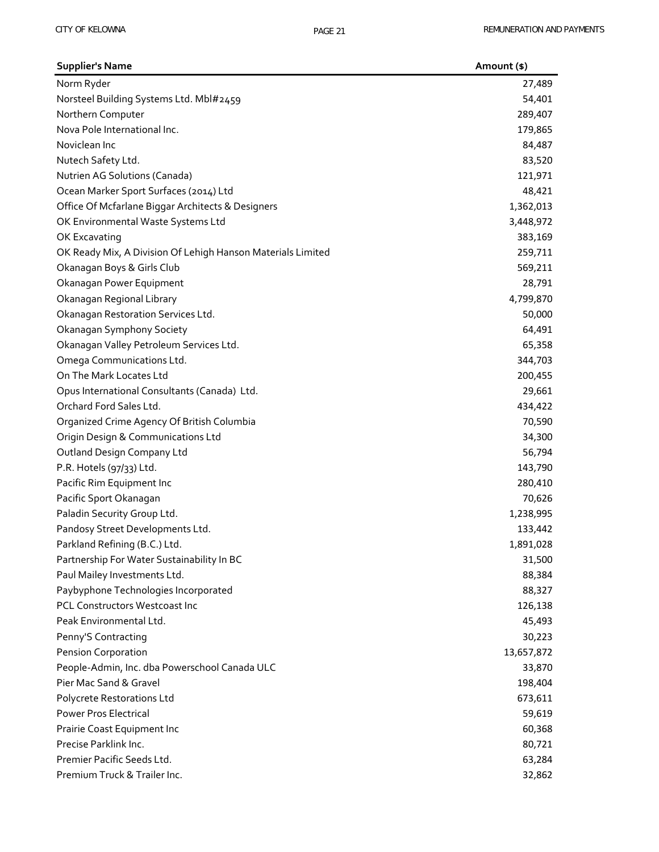| <b>Supplier's Name</b>                                      | Amount (\$) |
|-------------------------------------------------------------|-------------|
| Norm Ryder                                                  | 27,489      |
| Norsteel Building Systems Ltd. Mbl#2459                     | 54,401      |
| Northern Computer                                           | 289,407     |
| Nova Pole International Inc.                                | 179,865     |
| Noviclean Inc                                               | 84,487      |
| Nutech Safety Ltd.                                          | 83,520      |
| Nutrien AG Solutions (Canada)                               | 121,971     |
| Ocean Marker Sport Surfaces (2014) Ltd                      | 48,421      |
| Office Of Mcfarlane Biggar Architects & Designers           | 1,362,013   |
| OK Environmental Waste Systems Ltd                          | 3,448,972   |
| OK Excavating                                               | 383,169     |
| OK Ready Mix, A Division Of Lehigh Hanson Materials Limited | 259,711     |
| Okanagan Boys & Girls Club                                  | 569,211     |
| Okanagan Power Equipment                                    | 28,791      |
| Okanagan Regional Library                                   | 4,799,870   |
| Okanagan Restoration Services Ltd.                          | 50,000      |
| Okanagan Symphony Society                                   | 64,491      |
| Okanagan Valley Petroleum Services Ltd.                     | 65,358      |
| Omega Communications Ltd.                                   | 344,703     |
| On The Mark Locates Ltd                                     | 200,455     |
| Opus International Consultants (Canada) Ltd.                | 29,661      |
| Orchard Ford Sales Ltd.                                     | 434,422     |
| Organized Crime Agency Of British Columbia                  | 70,590      |
| Origin Design & Communications Ltd                          | 34,300      |
| Outland Design Company Ltd                                  | 56,794      |
| P.R. Hotels (97/33) Ltd.                                    | 143,790     |
| Pacific Rim Equipment Inc                                   | 280,410     |
| Pacific Sport Okanagan                                      | 70,626      |
| Paladin Security Group Ltd.                                 | 1,238,995   |
| Pandosy Street Developments Ltd.                            | 133,442     |
| Parkland Refining (B.C.) Ltd.                               | 1,891,028   |
| Partnership For Water Sustainability In BC                  | 31,500      |
| Paul Mailey Investments Ltd.                                | 88,384      |
| Paybyphone Technologies Incorporated                        | 88,327      |
| PCL Constructors Westcoast Inc                              | 126,138     |
| Peak Environmental Ltd.                                     | 45,493      |
| Penny'S Contracting                                         | 30,223      |
| <b>Pension Corporation</b>                                  | 13,657,872  |
| People-Admin, Inc. dba Powerschool Canada ULC               | 33,870      |
| Pier Mac Sand & Gravel                                      | 198,404     |
| Polycrete Restorations Ltd                                  | 673,611     |
| <b>Power Pros Electrical</b>                                | 59,619      |
| Prairie Coast Equipment Inc                                 | 60,368      |
| Precise Parklink Inc.                                       | 80,721      |
| Premier Pacific Seeds Ltd.                                  | 63,284      |
| Premium Truck & Trailer Inc.                                | 32,862      |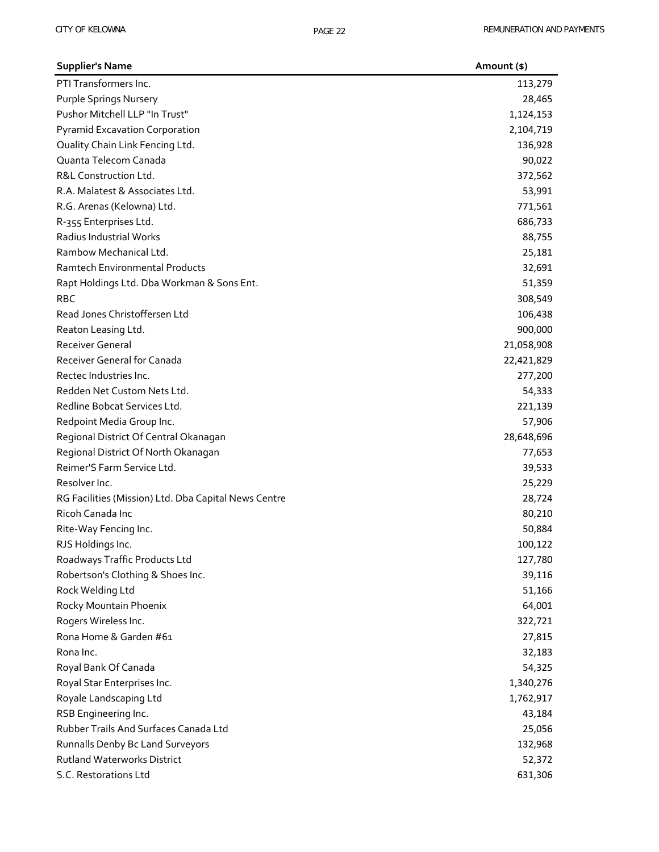| <b>Supplier's Name</b>                               | Amount (\$) |
|------------------------------------------------------|-------------|
| PTI Transformers Inc.                                | 113,279     |
| <b>Purple Springs Nursery</b>                        | 28,465      |
| Pushor Mitchell LLP "In Trust"                       | 1,124,153   |
| <b>Pyramid Excavation Corporation</b>                | 2,104,719   |
| Quality Chain Link Fencing Ltd.                      | 136,928     |
| Quanta Telecom Canada                                | 90,022      |
| R&L Construction Ltd.                                | 372,562     |
| R.A. Malatest & Associates Ltd.                      | 53,991      |
| R.G. Arenas (Kelowna) Ltd.                           | 771,561     |
| R-355 Enterprises Ltd.                               | 686,733     |
| Radius Industrial Works                              | 88,755      |
| Rambow Mechanical Ltd.                               | 25,181      |
| <b>Ramtech Environmental Products</b>                | 32,691      |
| Rapt Holdings Ltd. Dba Workman & Sons Ent.           | 51,359      |
| <b>RBC</b>                                           | 308,549     |
| Read Jones Christoffersen Ltd                        | 106,438     |
| Reaton Leasing Ltd.                                  | 900,000     |
| <b>Receiver General</b>                              | 21,058,908  |
| Receiver General for Canada                          | 22,421,829  |
| Rectec Industries Inc.                               | 277,200     |
| Redden Net Custom Nets Ltd.                          | 54,333      |
| Redline Bobcat Services Ltd.                         | 221,139     |
| Redpoint Media Group Inc.                            | 57,906      |
| Regional District Of Central Okanagan                | 28,648,696  |
| Regional District Of North Okanagan                  | 77,653      |
| Reimer'S Farm Service Ltd.                           | 39,533      |
| Resolver Inc.                                        | 25,229      |
| RG Facilities (Mission) Ltd. Dba Capital News Centre | 28,724      |
| Ricoh Canada Inc                                     | 80,210      |
| Rite-Way Fencing Inc.                                | 50,884      |
| RJS Holdings Inc.                                    | 100,122     |
| Roadways Traffic Products Ltd                        | 127,780     |
| Robertson's Clothing & Shoes Inc.                    | 39,116      |
| Rock Welding Ltd                                     | 51,166      |
| Rocky Mountain Phoenix                               | 64,001      |
| Rogers Wireless Inc.                                 | 322,721     |
| Rona Home & Garden #61                               | 27,815      |
| Rona Inc.                                            | 32,183      |
| Royal Bank Of Canada                                 | 54,325      |
| Royal Star Enterprises Inc.                          | 1,340,276   |
| Royale Landscaping Ltd                               | 1,762,917   |
| RSB Engineering Inc.                                 | 43,184      |
| Rubber Trails And Surfaces Canada Ltd                | 25,056      |
| Runnalls Denby Bc Land Surveyors                     | 132,968     |
| <b>Rutland Waterworks District</b>                   | 52,372      |
| S.C. Restorations Ltd                                | 631,306     |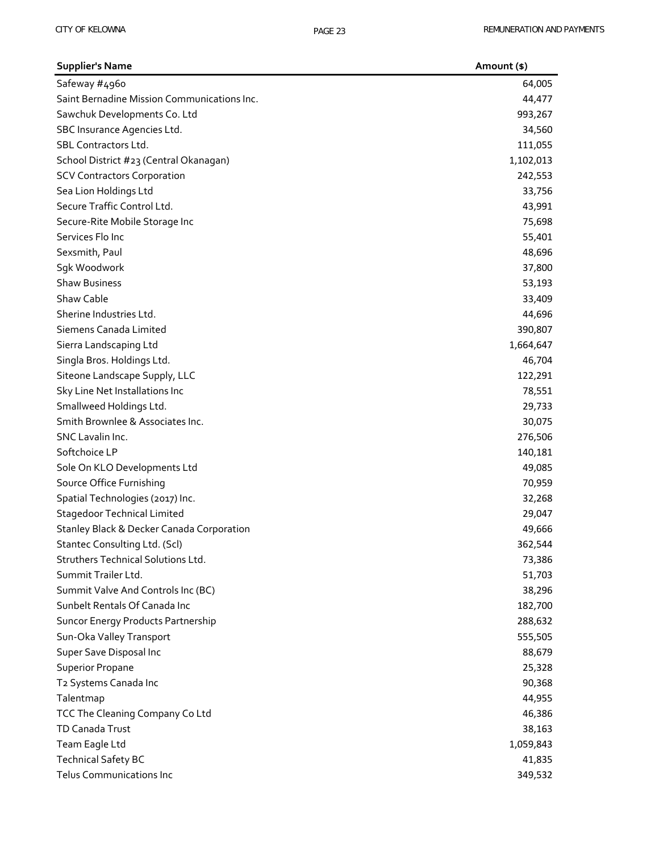| <b>Supplier's Name</b>                      | Amount (\$) |
|---------------------------------------------|-------------|
| Safeway #4960                               | 64,005      |
| Saint Bernadine Mission Communications Inc. | 44,477      |
| Sawchuk Developments Co. Ltd                | 993,267     |
| SBC Insurance Agencies Ltd.                 | 34,560      |
| SBL Contractors Ltd.                        | 111,055     |
| School District #23 (Central Okanagan)      | 1,102,013   |
| <b>SCV Contractors Corporation</b>          | 242,553     |
| Sea Lion Holdings Ltd                       | 33,756      |
| Secure Traffic Control Ltd.                 | 43,991      |
| Secure-Rite Mobile Storage Inc              | 75,698      |
| Services Flo Inc                            | 55,401      |
| Sexsmith, Paul                              | 48,696      |
| Sgk Woodwork                                | 37,800      |
| <b>Shaw Business</b>                        | 53,193      |
| Shaw Cable                                  | 33,409      |
| Sherine Industries Ltd.                     | 44,696      |
| Siemens Canada Limited                      | 390,807     |
| Sierra Landscaping Ltd                      | 1,664,647   |
| Singla Bros. Holdings Ltd.                  | 46,704      |
| Siteone Landscape Supply, LLC               | 122,291     |
| Sky Line Net Installations Inc              | 78,551      |
| Smallweed Holdings Ltd.                     | 29,733      |
| Smith Brownlee & Associates Inc.            | 30,075      |
| SNC Lavalin Inc.                            | 276,506     |
| Softchoice LP                               | 140,181     |
| Sole On KLO Developments Ltd                | 49,085      |
| Source Office Furnishing                    | 70,959      |
| Spatial Technologies (2017) Inc.            | 32,268      |
| <b>Stagedoor Technical Limited</b>          | 29,047      |
| Stanley Black & Decker Canada Corporation   | 49,666      |
| Stantec Consulting Ltd. (Scl)               | 362,544     |
| Struthers Technical Solutions Ltd.          | 73,386      |
| Summit Trailer Ltd.                         | 51,703      |
| Summit Valve And Controls Inc (BC)          | 38,296      |
| Sunbelt Rentals Of Canada Inc               | 182,700     |
| Suncor Energy Products Partnership          | 288,632     |
| Sun-Oka Valley Transport                    | 555,505     |
| Super Save Disposal Inc                     | 88,679      |
| <b>Superior Propane</b>                     | 25,328      |
| T2 Systems Canada Inc                       | 90,368      |
| Talentmap                                   | 44,955      |
| TCC The Cleaning Company Co Ltd             | 46,386      |
| TD Canada Trust                             | 38,163      |
| Team Eagle Ltd                              | 1,059,843   |
| <b>Technical Safety BC</b>                  | 41,835      |
| Telus Communications Inc                    | 349,532     |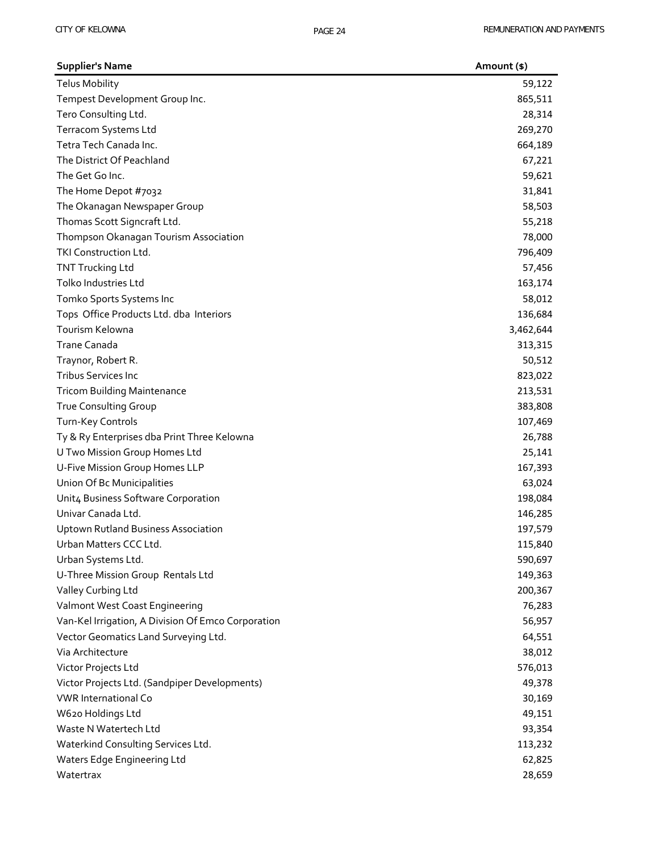| <b>Supplier's Name</b>                             | Amount (\$) |
|----------------------------------------------------|-------------|
| <b>Telus Mobility</b>                              | 59,122      |
| Tempest Development Group Inc.                     | 865,511     |
| Tero Consulting Ltd.                               | 28,314      |
| Terracom Systems Ltd                               | 269,270     |
| Tetra Tech Canada Inc.                             | 664,189     |
| The District Of Peachland                          | 67,221      |
| The Get Go Inc.                                    | 59,621      |
| The Home Depot #7032                               | 31,841      |
| The Okanagan Newspaper Group                       | 58,503      |
| Thomas Scott Signcraft Ltd.                        | 55,218      |
| Thompson Okanagan Tourism Association              | 78,000      |
| TKI Construction Ltd.                              | 796,409     |
| <b>TNT Trucking Ltd</b>                            | 57,456      |
| Tolko Industries Ltd                               | 163,174     |
| Tomko Sports Systems Inc                           | 58,012      |
| Tops Office Products Ltd. dba Interiors            | 136,684     |
| Tourism Kelowna                                    | 3,462,644   |
| <b>Trane Canada</b>                                | 313,315     |
| Traynor, Robert R.                                 | 50,512      |
| <b>Tribus Services Inc</b>                         | 823,022     |
| <b>Tricom Building Maintenance</b>                 | 213,531     |
| True Consulting Group                              | 383,808     |
| Turn-Key Controls                                  | 107,469     |
| Ty & Ry Enterprises dba Print Three Kelowna        | 26,788      |
| U Two Mission Group Homes Ltd                      | 25,141      |
| U-Five Mission Group Homes LLP                     | 167,393     |
| Union Of Bc Municipalities                         | 63,024      |
| Unit4 Business Software Corporation                | 198,084     |
| Univar Canada Ltd.                                 | 146,285     |
| <b>Uptown Rutland Business Association</b>         | 197,579     |
| Urban Matters CCC Ltd.                             | 115,840     |
| Urban Systems Ltd.                                 | 590,697     |
| U-Three Mission Group Rentals Ltd                  | 149,363     |
| Valley Curbing Ltd                                 | 200,367     |
| Valmont West Coast Engineering                     | 76,283      |
| Van-Kel Irrigation, A Division Of Emco Corporation | 56,957      |
| Vector Geomatics Land Surveying Ltd.               | 64,551      |
| Via Architecture                                   | 38,012      |
| Victor Projects Ltd                                | 576,013     |
| Victor Projects Ltd. (Sandpiper Developments)      | 49,378      |
| <b>VWR International Co</b>                        | 30,169      |
| W620 Holdings Ltd                                  | 49,151      |
| Waste N Watertech Ltd                              | 93,354      |
| Waterkind Consulting Services Ltd.                 | 113,232     |
| Waters Edge Engineering Ltd                        | 62,825      |
| Watertrax                                          | 28,659      |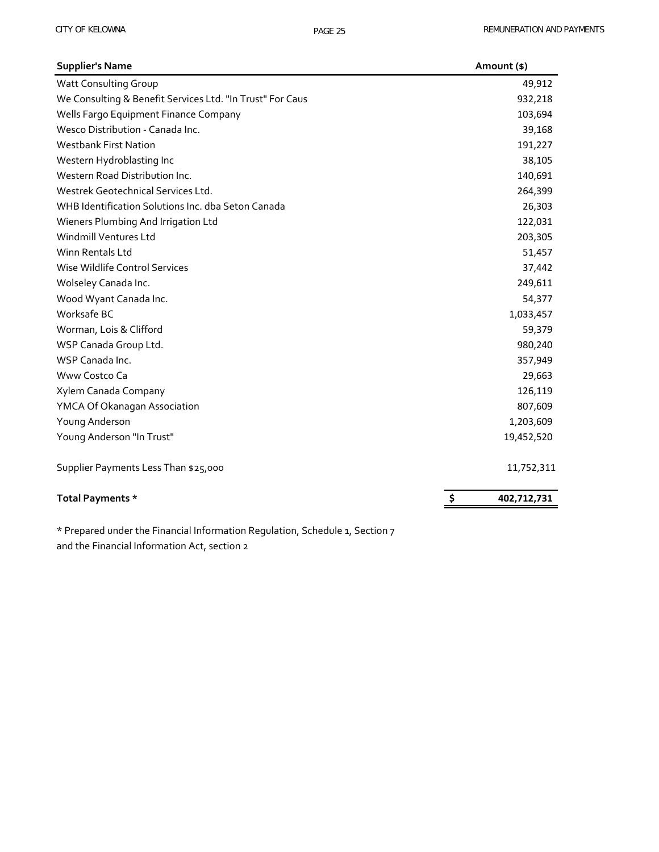| <b>Supplier's Name</b>                                    | Amount (\$)       |
|-----------------------------------------------------------|-------------------|
| <b>Watt Consulting Group</b>                              | 49,912            |
| We Consulting & Benefit Services Ltd. "In Trust" For Caus | 932,218           |
| Wells Fargo Equipment Finance Company                     | 103,694           |
| Wesco Distribution - Canada Inc.                          | 39,168            |
| <b>Westbank First Nation</b>                              | 191,227           |
| Western Hydroblasting Inc                                 | 38,105            |
| Western Road Distribution Inc.                            | 140,691           |
| Westrek Geotechnical Services Ltd.                        | 264,399           |
| WHB Identification Solutions Inc. dba Seton Canada        | 26,303            |
| Wieners Plumbing And Irrigation Ltd                       | 122,031           |
| Windmill Ventures Ltd                                     | 203,305           |
| Winn Rentals Ltd                                          | 51,457            |
| Wise Wildlife Control Services                            | 37,442            |
| Wolseley Canada Inc.                                      | 249,611           |
| Wood Wyant Canada Inc.                                    | 54,377            |
| Worksafe BC                                               | 1,033,457         |
| Worman, Lois & Clifford                                   | 59,379            |
| WSP Canada Group Ltd.                                     | 980,240           |
| WSP Canada Inc.                                           | 357,949           |
| Www Costco Ca                                             | 29,663            |
| Xylem Canada Company                                      | 126,119           |
| YMCA Of Okanagan Association                              | 807,609           |
| Young Anderson                                            | 1,203,609         |
| Young Anderson "In Trust"                                 | 19,452,520        |
| Supplier Payments Less Than \$25,000                      | 11,752,311        |
| Total Payments *                                          | \$<br>402,712,731 |

\* Prepared under the Financial Information Regulation, Schedule 1, Section 7 and the Financial Information Act, section 2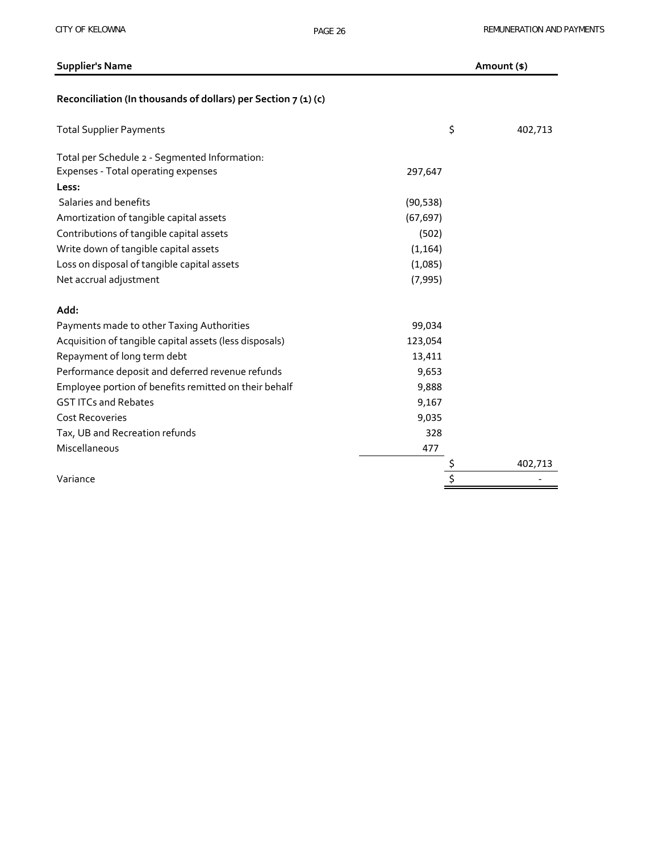| <b>Supplier's Name</b>                                         |           | Amount (\$) |         |
|----------------------------------------------------------------|-----------|-------------|---------|
| Reconciliation (In thousands of dollars) per Section 7 (1) (c) |           |             |         |
| <b>Total Supplier Payments</b>                                 |           | \$          | 402,713 |
| Total per Schedule 2 - Segmented Information:                  |           |             |         |
| Expenses - Total operating expenses                            | 297,647   |             |         |
| Less:                                                          |           |             |         |
| Salaries and benefits                                          | (90, 538) |             |         |
| Amortization of tangible capital assets                        | (67, 697) |             |         |
| Contributions of tangible capital assets                       | (502)     |             |         |
| Write down of tangible capital assets                          | (1, 164)  |             |         |
| Loss on disposal of tangible capital assets                    | (1,085)   |             |         |
| Net accrual adjustment                                         | (7, 995)  |             |         |
| Add:                                                           |           |             |         |
| Payments made to other Taxing Authorities                      | 99,034    |             |         |
| Acquisition of tangible capital assets (less disposals)        | 123,054   |             |         |
| Repayment of long term debt                                    | 13,411    |             |         |
| Performance deposit and deferred revenue refunds               | 9,653     |             |         |
| Employee portion of benefits remitted on their behalf          | 9,888     |             |         |
| <b>GST ITCs and Rebates</b>                                    | 9,167     |             |         |
| <b>Cost Recoveries</b>                                         | 9,035     |             |         |
| Tax, UB and Recreation refunds                                 | 328       |             |         |
| Miscellaneous                                                  | 477       |             |         |
|                                                                |           |             | 402,713 |
| Variance                                                       |           |             |         |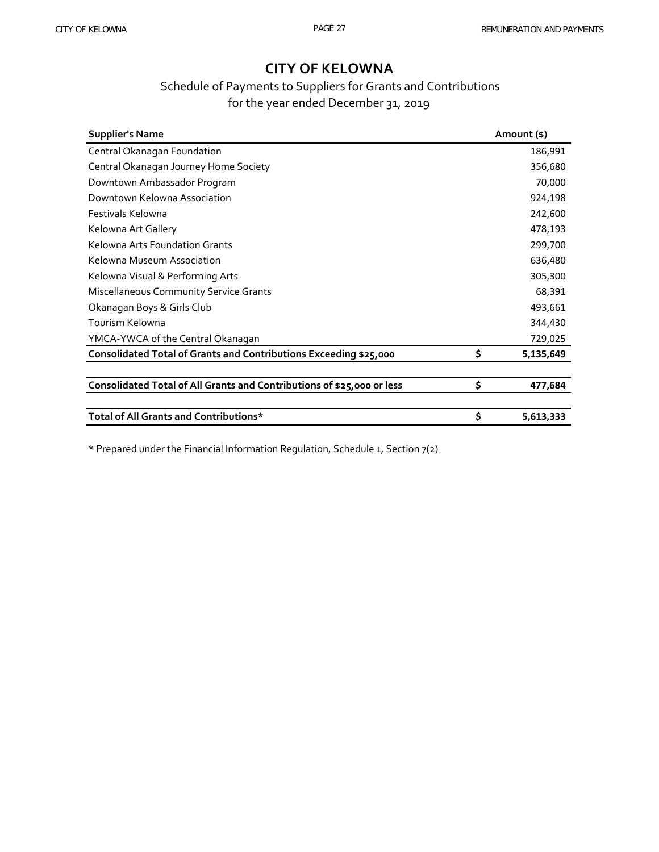### Schedule of Payments to Suppliers for Grants and Contributions for the year ended December 31, 2019

| <b>Supplier's Name</b>                                                 |        | Amount (\$) |  |
|------------------------------------------------------------------------|--------|-------------|--|
| Central Okanagan Foundation                                            |        | 186,991     |  |
| Central Okanagan Journey Home Society                                  |        | 356,680     |  |
| Downtown Ambassador Program                                            | 70,000 |             |  |
| Downtown Kelowna Association                                           |        | 924,198     |  |
| Festivals Kelowna                                                      |        | 242,600     |  |
| Kelowna Art Gallery                                                    |        | 478,193     |  |
| Kelowna Arts Foundation Grants                                         |        | 299,700     |  |
| Kelowna Museum Association                                             |        | 636,480     |  |
| Kelowna Visual & Performing Arts                                       |        | 305,300     |  |
| <b>Miscellaneous Community Service Grants</b>                          | 68,391 |             |  |
| Okanagan Boys & Girls Club                                             |        | 493,661     |  |
| Tourism Kelowna                                                        |        | 344,430     |  |
| YMCA-YWCA of the Central Okanagan                                      |        | 729,025     |  |
| Consolidated Total of Grants and Contributions Exceeding \$25,000      | \$     | 5,135,649   |  |
|                                                                        |        |             |  |
| Consolidated Total of All Grants and Contributions of \$25,000 or less | \$     | 477,684     |  |
|                                                                        |        |             |  |
| Total of All Grants and Contributions*                                 | \$     | 5,613,333   |  |

\* Prepared under the Financial Information Regulation, Schedule 1, Section 7(2)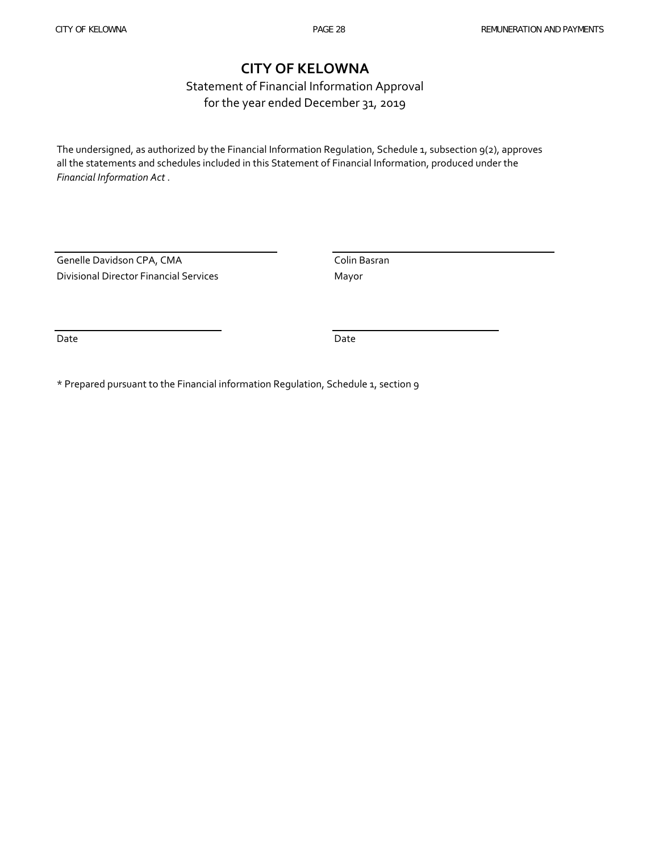Statement of Financial Information Approval for the year ended December 31, 2019

The undersigned, as authorized by the Financial Information Regulation, Schedule 1, subsection 9(2), approves all the statements and schedules included in this Statement of Financial Information, produced under the *Financial Information Act* .

Genelle Davidson CPA, CMA Colin Basran Divisional Director Financial Services Mayor

Date Date

\* Prepared pursuant to the Financial information Regulation, Schedule 1, section 9